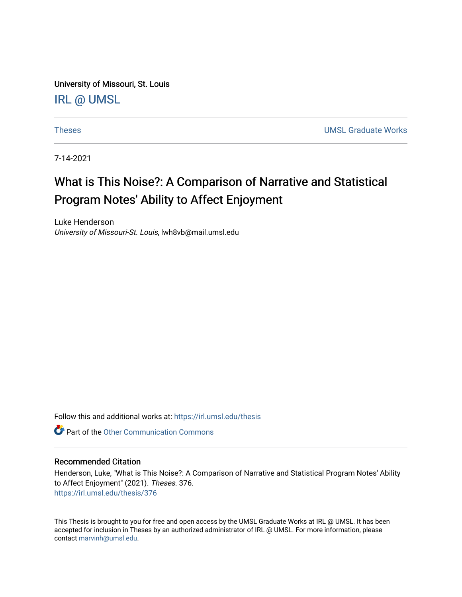University of Missouri, St. Louis [IRL @ UMSL](https://irl.umsl.edu/) 

[Theses](https://irl.umsl.edu/thesis) [UMSL Graduate Works](https://irl.umsl.edu/grad) 

7-14-2021

# What is This Noise?: A Comparison of Narrative and Statistical Program Notes' Ability to Affect Enjoyment

Luke Henderson University of Missouri-St. Louis, lwh8vb@mail.umsl.edu

Follow this and additional works at: [https://irl.umsl.edu/thesis](https://irl.umsl.edu/thesis?utm_source=irl.umsl.edu%2Fthesis%2F376&utm_medium=PDF&utm_campaign=PDFCoverPages) 

**C** Part of the [Other Communication Commons](https://network.bepress.com/hgg/discipline/339?utm_source=irl.umsl.edu%2Fthesis%2F376&utm_medium=PDF&utm_campaign=PDFCoverPages)

### Recommended Citation

Henderson, Luke, "What is This Noise?: A Comparison of Narrative and Statistical Program Notes' Ability to Affect Enjoyment" (2021). Theses. 376. [https://irl.umsl.edu/thesis/376](https://irl.umsl.edu/thesis/376?utm_source=irl.umsl.edu%2Fthesis%2F376&utm_medium=PDF&utm_campaign=PDFCoverPages) 

This Thesis is brought to you for free and open access by the UMSL Graduate Works at IRL @ UMSL. It has been accepted for inclusion in Theses by an authorized administrator of IRL @ UMSL. For more information, please contact [marvinh@umsl.edu.](mailto:marvinh@umsl.edu)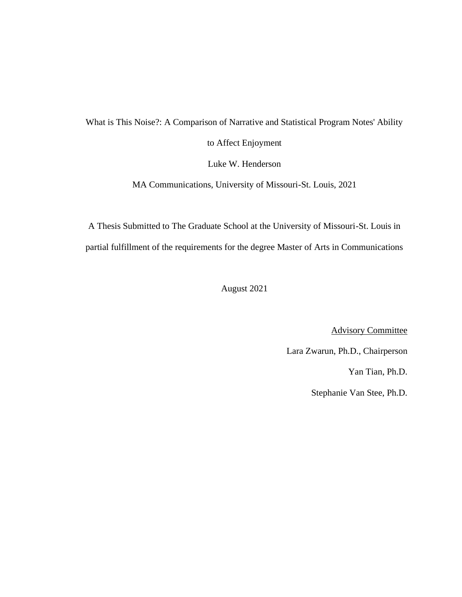What is This Noise?: A Comparison of Narrative and Statistical Program Notes' Ability to Affect Enjoyment

Luke W. Henderson

MA Communications, University of Missouri-St. Louis, 2021

A Thesis Submitted to The Graduate School at the University of Missouri-St. Louis in partial fulfillment of the requirements for the degree Master of Arts in Communications

August 2021

Advisory Committee

Lara Zwarun, Ph.D., Chairperson

Yan Tian, Ph.D.

Stephanie Van Stee, Ph.D.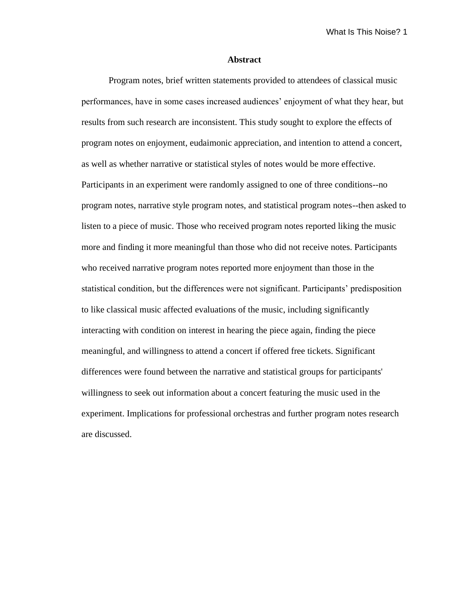#### **Abstract**

Program notes, brief written statements provided to attendees of classical music performances, have in some cases increased audiences' enjoyment of what they hear, but results from such research are inconsistent. This study sought to explore the effects of program notes on enjoyment, eudaimonic appreciation, and intention to attend a concert, as well as whether narrative or statistical styles of notes would be more effective. Participants in an experiment were randomly assigned to one of three conditions--no program notes, narrative style program notes, and statistical program notes--then asked to listen to a piece of music. Those who received program notes reported liking the music more and finding it more meaningful than those who did not receive notes. Participants who received narrative program notes reported more enjoyment than those in the statistical condition, but the differences were not significant. Participants' predisposition to like classical music affected evaluations of the music, including significantly interacting with condition on interest in hearing the piece again, finding the piece meaningful, and willingness to attend a concert if offered free tickets. Significant differences were found between the narrative and statistical groups for participants' willingness to seek out information about a concert featuring the music used in the experiment. Implications for professional orchestras and further program notes research are discussed.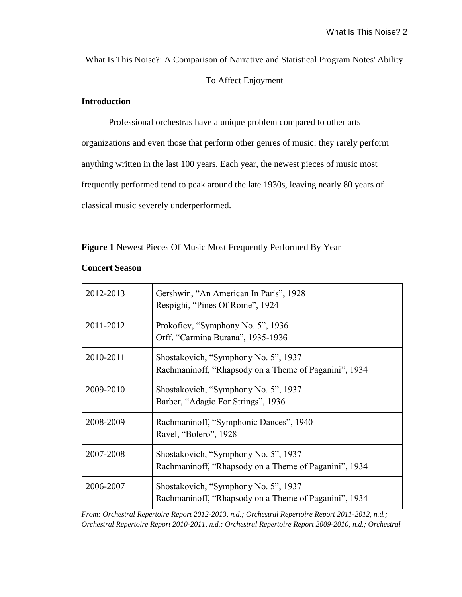What Is This Noise?: A Comparison of Narrative and Statistical Program Notes' Ability

# To Affect Enjoyment

# **Introduction**

Professional orchestras have a unique problem compared to other arts organizations and even those that perform other genres of music: they rarely perform anything written in the last 100 years. Each year, the newest pieces of music most frequently performed tend to peak around the late 1930s, leaving nearly 80 years of classical music severely underperformed.

**Figure 1** Newest Pieces Of Music Most Frequently Performed By Year

| 2012-2013 | Gershwin, "An American In Paris", 1928<br>Respighi, "Pines Of Rome", 1924                     |
|-----------|-----------------------------------------------------------------------------------------------|
| 2011-2012 | Prokofiev, "Symphony No. 5", 1936<br>Orff, "Carmina Burana", 1935-1936                        |
| 2010-2011 | Shostakovich, "Symphony No. 5", 1937<br>Rachmaninoff, "Rhapsody on a Theme of Paganini", 1934 |
| 2009-2010 | Shostakovich, "Symphony No. 5", 1937<br>Barber, "Adagio For Strings", 1936                    |
| 2008-2009 | Rachmaninoff, "Symphonic Dances", 1940<br>Ravel, "Bolero", 1928                               |
| 2007-2008 | Shostakovich, "Symphony No. 5", 1937<br>Rachmaninoff, "Rhapsody on a Theme of Paganini", 1934 |
| 2006-2007 | Shostakovich, "Symphony No. 5", 1937<br>Rachmaninoff, "Rhapsody on a Theme of Paganini", 1934 |

### **Concert Season**

*From: Orchestral Repertoire Report 2012-2013, n.d.; Orchestral Repertoire Report 2011-2012, n.d.; Orchestral Repertoire Report 2010-2011, n.d.; Orchestral Repertoire Report 2009-2010, n.d.; Orchestral*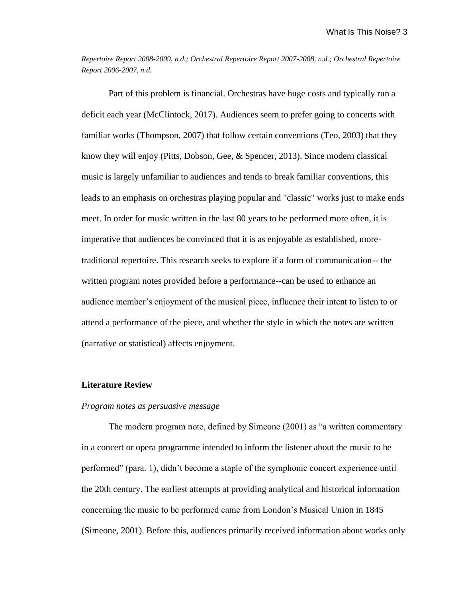*Repertoire Report 2008-2009, n.d.; Orchestral Repertoire Report 2007-2008, n.d.; Orchestral Repertoire Report 2006-2007, n.d.*

Part of this problem is financial. Orchestras have huge costs and typically run a deficit each year (McClintock, 2017). Audiences seem to prefer going to concerts with familiar works (Thompson, 2007) that follow certain conventions (Teo, 2003) that they know they will enjoy (Pitts, Dobson, Gee, & Spencer, 2013). Since modern classical music is largely unfamiliar to audiences and tends to break familiar conventions, this leads to an emphasis on orchestras playing popular and "classic" works just to make ends meet. In order for music written in the last 80 years to be performed more often, it is imperative that audiences be convinced that it is as enjoyable as established, moretraditional repertoire. This research seeks to explore if a form of communication-- the written program notes provided before a performance--can be used to enhance an audience member's enjoyment of the musical piece, influence their intent to listen to or attend a performance of the piece, and whether the style in which the notes are written (narrative or statistical) affects enjoyment.

### **Literature Review**

### *Program notes as persuasive message*

The modern program note, defined by Simeone (2001) as "a written commentary in a concert or opera programme intended to inform the listener about the music to be performed" (para. 1), didn't become a staple of the symphonic concert experience until the 20th century. The earliest attempts at providing analytical and historical information concerning the music to be performed came from London's Musical Union in 1845 (Simeone, 2001). Before this, audiences primarily received information about works only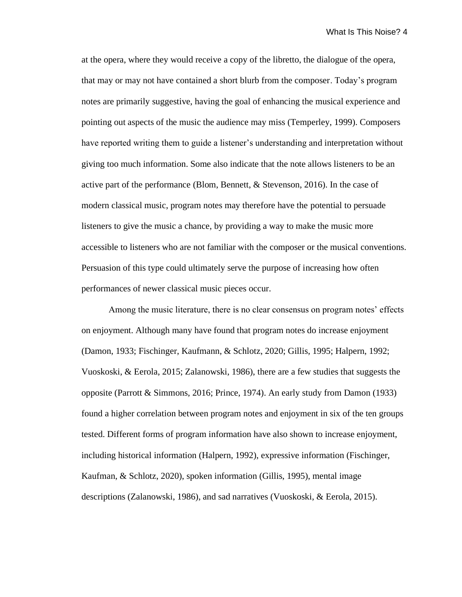at the opera, where they would receive a copy of the libretto, the dialogue of the opera, that may or may not have contained a short blurb from the composer. Today's program notes are primarily suggestive, having the goal of enhancing the musical experience and pointing out aspects of the music the audience may miss (Temperley, 1999). Composers have reported writing them to guide a listener's understanding and interpretation without giving too much information. Some also indicate that the note allows listeners to be an active part of the performance (Blom, Bennett, & Stevenson, 2016). In the case of modern classical music, program notes may therefore have the potential to persuade listeners to give the music a chance, by providing a way to make the music more accessible to listeners who are not familiar with the composer or the musical conventions. Persuasion of this type could ultimately serve the purpose of increasing how often performances of newer classical music pieces occur.

Among the music literature, there is no clear consensus on program notes' effects on enjoyment. Although many have found that program notes do increase enjoyment (Damon, 1933; Fischinger, Kaufmann, & Schlotz, 2020; Gillis, 1995; Halpern, 1992; Vuoskoski, & Eerola, 2015; Zalanowski, 1986), there are a few studies that suggests the opposite (Parrott & Simmons, 2016; Prince, 1974). An early study from Damon (1933) found a higher correlation between program notes and enjoyment in six of the ten groups tested. Different forms of program information have also shown to increase enjoyment, including historical information (Halpern, 1992), expressive information (Fischinger, Kaufman, & Schlotz, 2020), spoken information (Gillis, 1995), mental image descriptions (Zalanowski, 1986), and sad narratives (Vuoskoski, & Eerola, 2015).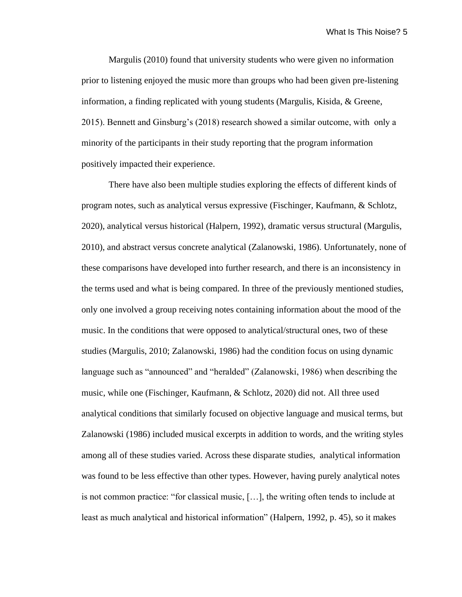Margulis (2010) found that university students who were given no information prior to listening enjoyed the music more than groups who had been given pre-listening information, a finding replicated with young students (Margulis, Kisida, & Greene, 2015). Bennett and Ginsburg's (2018) research showed a similar outcome, with only a minority of the participants in their study reporting that the program information positively impacted their experience.

There have also been multiple studies exploring the effects of different kinds of program notes, such as analytical versus expressive (Fischinger, Kaufmann, & Schlotz, 2020), analytical versus historical (Halpern, 1992), dramatic versus structural (Margulis, 2010), and abstract versus concrete analytical (Zalanowski, 1986). Unfortunately, none of these comparisons have developed into further research, and there is an inconsistency in the terms used and what is being compared. In three of the previously mentioned studies, only one involved a group receiving notes containing information about the mood of the music. In the conditions that were opposed to analytical/structural ones, two of these studies (Margulis, 2010; Zalanowski, 1986) had the condition focus on using dynamic language such as "announced" and "heralded" (Zalanowski, 1986) when describing the music, while one (Fischinger, Kaufmann, & Schlotz, 2020) did not. All three used analytical conditions that similarly focused on objective language and musical terms, but Zalanowski (1986) included musical excerpts in addition to words, and the writing styles among all of these studies varied. Across these disparate studies, analytical information was found to be less effective than other types. However, having purely analytical notes is not common practice: "for classical music, […], the writing often tends to include at least as much analytical and historical information" (Halpern, 1992, p. 45), so it makes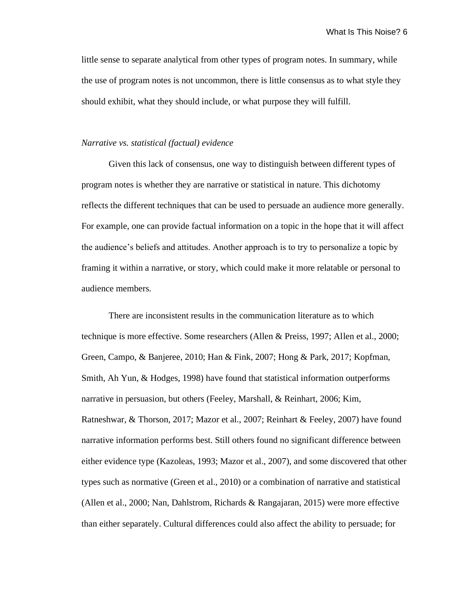little sense to separate analytical from other types of program notes. In summary, while the use of program notes is not uncommon, there is little consensus as to what style they should exhibit, what they should include, or what purpose they will fulfill.

### *Narrative vs. statistical (factual) evidence*

Given this lack of consensus, one way to distinguish between different types of program notes is whether they are narrative or statistical in nature. This dichotomy reflects the different techniques that can be used to persuade an audience more generally. For example, one can provide factual information on a topic in the hope that it will affect the audience's beliefs and attitudes. Another approach is to try to personalize a topic by framing it within a narrative, or story, which could make it more relatable or personal to audience members.

There are inconsistent results in the communication literature as to which technique is more effective. Some researchers (Allen & Preiss, 1997; Allen et al., 2000; Green, Campo, & Banjeree, 2010; Han & Fink, 2007; Hong & Park, 2017; Kopfman, Smith, Ah Yun, & Hodges, 1998) have found that statistical information outperforms narrative in persuasion, but others (Feeley, Marshall, & Reinhart, 2006; Kim, Ratneshwar, & Thorson, 2017; Mazor et al., 2007; Reinhart & Feeley, 2007) have found narrative information performs best. Still others found no significant difference between either evidence type (Kazoleas, 1993; Mazor et al., 2007), and some discovered that other types such as normative (Green et al., 2010) or a combination of narrative and statistical (Allen et al., 2000; Nan, Dahlstrom, Richards & Rangajaran, 2015) were more effective than either separately. Cultural differences could also affect the ability to persuade; for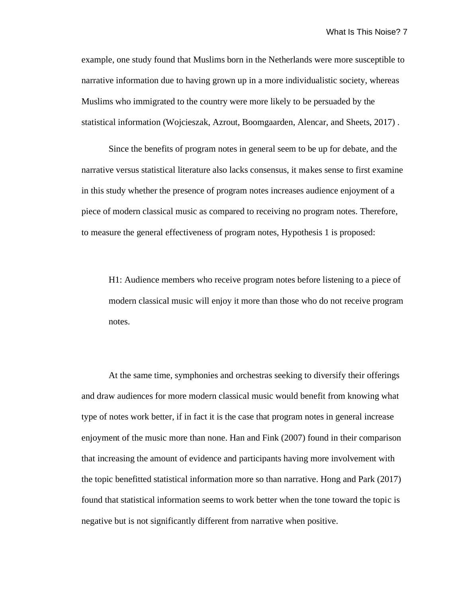example, one study found that Muslims born in the Netherlands were more susceptible to narrative information due to having grown up in a more individualistic society, whereas Muslims who immigrated to the country were more likely to be persuaded by the statistical information (Wojcieszak, Azrout, Boomgaarden, Alencar, and Sheets, 2017) .

Since the benefits of program notes in general seem to be up for debate, and the narrative versus statistical literature also lacks consensus, it makes sense to first examine in this study whether the presence of program notes increases audience enjoyment of a piece of modern classical music as compared to receiving no program notes. Therefore, to measure the general effectiveness of program notes, Hypothesis 1 is proposed:

H1: Audience members who receive program notes before listening to a piece of modern classical music will enjoy it more than those who do not receive program notes.

At the same time, symphonies and orchestras seeking to diversify their offerings and draw audiences for more modern classical music would benefit from knowing what type of notes work better, if in fact it is the case that program notes in general increase enjoyment of the music more than none. Han and Fink (2007) found in their comparison that increasing the amount of evidence and participants having more involvement with the topic benefitted statistical information more so than narrative. Hong and Park (2017) found that statistical information seems to work better when the tone toward the topic is negative but is not significantly different from narrative when positive.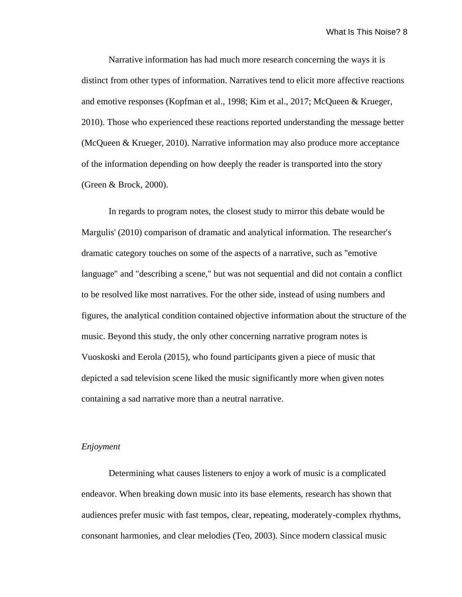Narrative information has had much more research concerning the ways it is distinct from other types of information. Narratives tend to elicit more affective reactions and emotive responses (Kopfman et al., 1998; Kim et al., 2017; McQueen & Krueger, 2010). Those who experienced these reactions reported understanding the message better (McQueen & Krueger, 2010). Narrative information may also produce more acceptance of the information depending on how deeply the reader is transported into the story (Green & Brock, 2000).

In regards to program notes, the closest study to mirror this debate would be Margulis' (2010) comparison of dramatic and analytical information. The researcher's dramatic category touches on some of the aspects of a narrative, such as "emotive language" and "describing a scene," but was not sequential and did not contain a conflict to be resolved like most narratives. For the other side, instead of using numbers and figures, the analytical condition contained objective information about the structure of the music. Beyond this study, the only other concerning narrative program notes is Vuoskoski and Eerola (2015), who found participants given a piece of music that depicted a sad television scene liked the music significantly more when given notes containing a sad narrative more than a neutral narrative.

### *Enjoyment*

Determining what causes listeners to enjoy a work of music is a complicated endeavor. When breaking down music into its base elements, research has shown that audiences prefer music with fast tempos, clear, repeating, moderately-complex rhythms, consonant harmonies, and clear melodies (Teo, 2003). Since modern classical music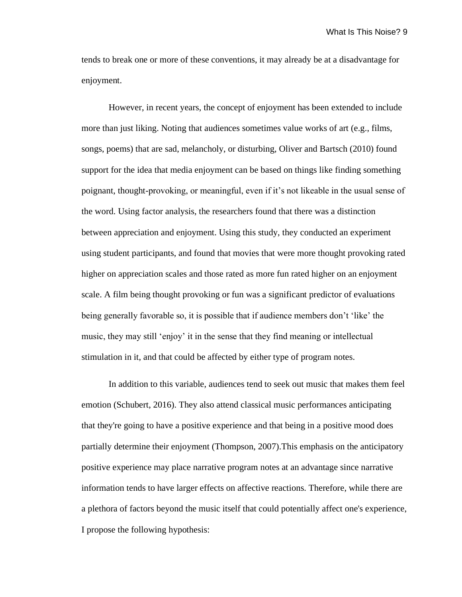tends to break one or more of these conventions, it may already be at a disadvantage for enjoyment.

However, in recent years, the concept of enjoyment has been extended to include more than just liking. Noting that audiences sometimes value works of art (e.g., films, songs, poems) that are sad, melancholy, or disturbing, Oliver and Bartsch (2010) found support for the idea that media enjoyment can be based on things like finding something poignant, thought-provoking, or meaningful, even if it's not likeable in the usual sense of the word. Using factor analysis, the researchers found that there was a distinction between appreciation and enjoyment. Using this study, they conducted an experiment using student participants, and found that movies that were more thought provoking rated higher on appreciation scales and those rated as more fun rated higher on an enjoyment scale. A film being thought provoking or fun was a significant predictor of evaluations being generally favorable so, it is possible that if audience members don't 'like' the music, they may still 'enjoy' it in the sense that they find meaning or intellectual stimulation in it, and that could be affected by either type of program notes.

In addition to this variable, audiences tend to seek out music that makes them feel emotion (Schubert, 2016). They also attend classical music performances anticipating that they're going to have a positive experience and that being in a positive mood does partially determine their enjoyment (Thompson, 2007).This emphasis on the anticipatory positive experience may place narrative program notes at an advantage since narrative information tends to have larger effects on affective reactions. Therefore, while there are a plethora of factors beyond the music itself that could potentially affect one's experience, I propose the following hypothesis: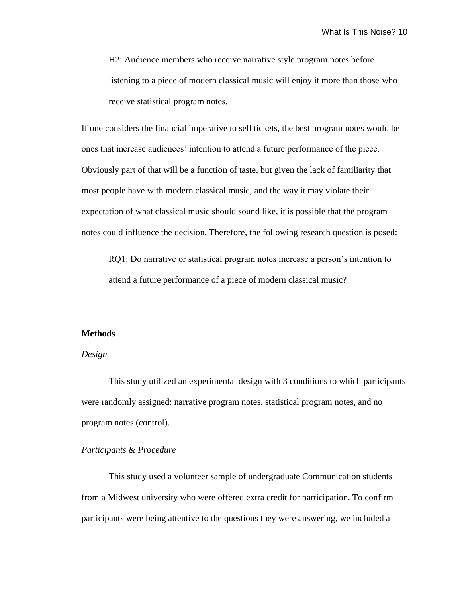H2: Audience members who receive narrative style program notes before listening to a piece of modern classical music will enjoy it more than those who receive statistical program notes.

If one considers the financial imperative to sell tickets, the best program notes would be ones that increase audiences' intention to attend a future performance of the piece. Obviously part of that will be a function of taste, but given the lack of familiarity that most people have with modern classical music, and the way it may violate their expectation of what classical music should sound like, it is possible that the program notes could influence the decision. Therefore, the following research question is posed:

RQ1: Do narrative or statistical program notes increase a person's intention to attend a future performance of a piece of modern classical music?

#### **Methods**

### *Design*

This study utilized an experimental design with 3 conditions to which participants were randomly assigned: narrative program notes, statistical program notes, and no program notes (control).

### *Participants & Procedure*

This study used a volunteer sample of undergraduate Communication students from a Midwest university who were offered extra credit for participation. To confirm participants were being attentive to the questions they were answering, we included a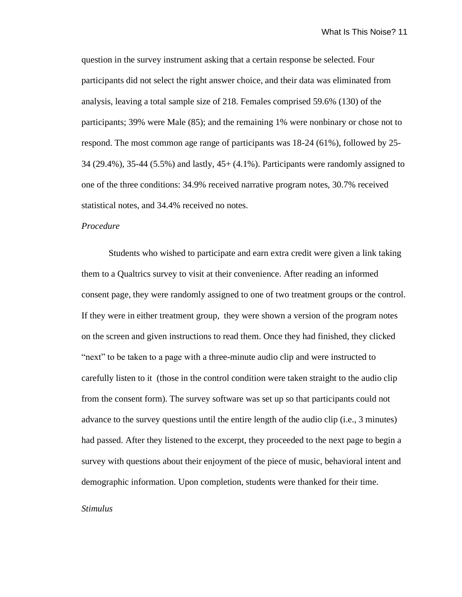question in the survey instrument asking that a certain response be selected. Four participants did not select the right answer choice, and their data was eliminated from analysis, leaving a total sample size of 218. Females comprised 59.6% (130) of the participants; 39% were Male (85); and the remaining 1% were nonbinary or chose not to respond. The most common age range of participants was 18-24 (61%), followed by 25- 34 (29.4%), 35-44 (5.5%) and lastly, 45+ (4.1%). Participants were randomly assigned to one of the three conditions: 34.9% received narrative program notes, 30.7% received statistical notes, and 34.4% received no notes.

### *Procedure*

Students who wished to participate and earn extra credit were given a link taking them to a Qualtrics survey to visit at their convenience. After reading an informed consent page, they were randomly assigned to one of two treatment groups or the control. If they were in either treatment group, they were shown a version of the program notes on the screen and given instructions to read them. Once they had finished, they clicked "next" to be taken to a page with a three-minute audio clip and were instructed to carefully listen to it (those in the control condition were taken straight to the audio clip from the consent form). The survey software was set up so that participants could not advance to the survey questions until the entire length of the audio clip (i.e., 3 minutes) had passed. After they listened to the excerpt, they proceeded to the next page to begin a survey with questions about their enjoyment of the piece of music, behavioral intent and demographic information. Upon completion, students were thanked for their time.

#### *Stimulus*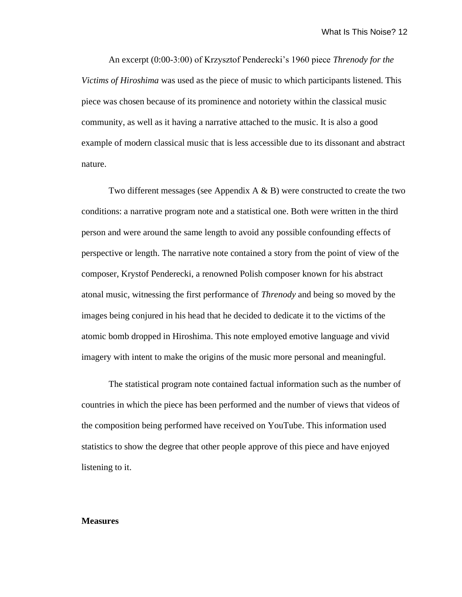An excerpt (0:00-3:00) of Krzysztof Penderecki's 1960 piece *Threnody for the Victims of Hiroshima* was used as the piece of music to which participants listened. This piece was chosen because of its prominence and notoriety within the classical music community, as well as it having a narrative attached to the music. It is also a good example of modern classical music that is less accessible due to its dissonant and abstract nature.

Two different messages (see Appendix  $A \& B$ ) were constructed to create the two conditions: a narrative program note and a statistical one. Both were written in the third person and were around the same length to avoid any possible confounding effects of perspective or length. The narrative note contained a story from the point of view of the composer, Krystof Penderecki, a renowned Polish composer known for his abstract atonal music, witnessing the first performance of *Threnody* and being so moved by the images being conjured in his head that he decided to dedicate it to the victims of the atomic bomb dropped in Hiroshima. This note employed emotive language and vivid imagery with intent to make the origins of the music more personal and meaningful.

The statistical program note contained factual information such as the number of countries in which the piece has been performed and the number of views that videos of the composition being performed have received on YouTube. This information used statistics to show the degree that other people approve of this piece and have enjoyed listening to it.

#### **Measures**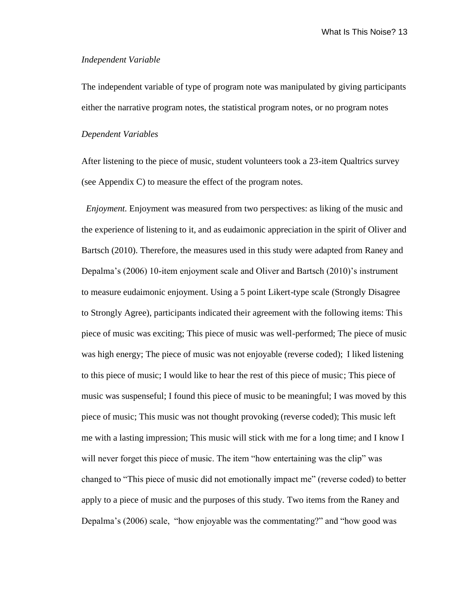### *Independent Variable*

The independent variable of type of program note was manipulated by giving participants either the narrative program notes, the statistical program notes, or no program notes

### *Dependent Variables*

After listening to the piece of music, student volunteers took a 23-item Qualtrics survey (see Appendix C) to measure the effect of the program notes.

*Enjoyment.* Enjoyment was measured from two perspectives: as liking of the music and the experience of listening to it, and as eudaimonic appreciation in the spirit of Oliver and Bartsch (2010). Therefore, the measures used in this study were adapted from Raney and Depalma's (2006) 10-item enjoyment scale and Oliver and Bartsch (2010)'s instrument to measure eudaimonic enjoyment. Using a 5 point Likert-type scale (Strongly Disagree to Strongly Agree), participants indicated their agreement with the following items: This piece of music was exciting; This piece of music was well-performed; The piece of music was high energy; The piece of music was not enjoyable (reverse coded); I liked listening to this piece of music; I would like to hear the rest of this piece of music; This piece of music was suspenseful; I found this piece of music to be meaningful; I was moved by this piece of music; This music was not thought provoking (reverse coded); This music left me with a lasting impression; This music will stick with me for a long time; and I know I will never forget this piece of music. The item "how entertaining was the clip" was changed to "This piece of music did not emotionally impact me" (reverse coded) to better apply to a piece of music and the purposes of this study. Two items from the Raney and Depalma's (2006) scale, "how enjoyable was the commentating?" and "how good was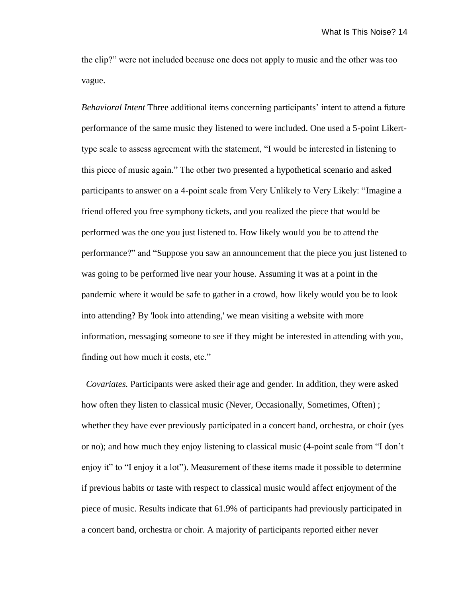the clip?" were not included because one does not apply to music and the other was too vague.

*Behavioral Intent* Three additional items concerning participants' intent to attend a future performance of the same music they listened to were included. One used a 5-point Likerttype scale to assess agreement with the statement, "I would be interested in listening to this piece of music again." The other two presented a hypothetical scenario and asked participants to answer on a 4-point scale from Very Unlikely to Very Likely: "Imagine a friend offered you free symphony tickets, and you realized the piece that would be performed was the one you just listened to. How likely would you be to attend the performance?" and "Suppose you saw an announcement that the piece you just listened to was going to be performed live near your house. Assuming it was at a point in the pandemic where it would be safe to gather in a crowd, how likely would you be to look into attending? By 'look into attending,' we mean visiting a website with more information, messaging someone to see if they might be interested in attending with you, finding out how much it costs, etc."

 *Covariates.* Participants were asked their age and gender. In addition, they were asked how often they listen to classical music (Never, Occasionally, Sometimes, Often); whether they have ever previously participated in a concert band, orchestra, or choir (yes or no); and how much they enjoy listening to classical music (4-point scale from "I don't enjoy it" to "I enjoy it a lot"). Measurement of these items made it possible to determine if previous habits or taste with respect to classical music would affect enjoyment of the piece of music. Results indicate that 61.9% of participants had previously participated in a concert band, orchestra or choir. A majority of participants reported either never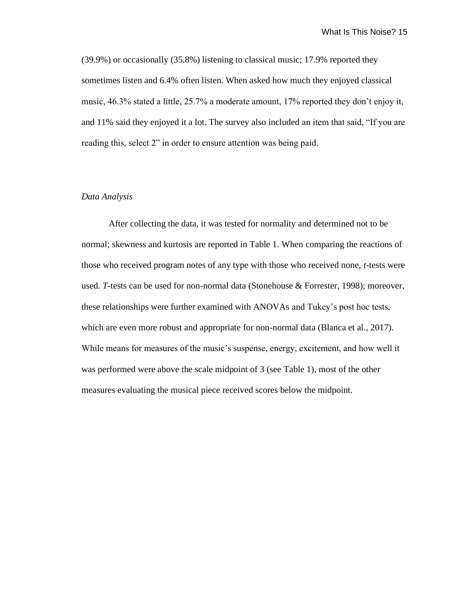(39.9%) or occasionally (35.8%) listening to classical music; 17.9% reported they sometimes listen and 6.4% often listen. When asked how much they enjoyed classical music, 46.3% stated a little, 25.7% a moderate amount, 17% reported they don't enjoy it, and 11% said they enjoyed it a lot. The survey also included an item that said, "If you are reading this, select 2" in order to ensure attention was being paid.

### *Data Analysis*

After collecting the data, it was tested for normality and determined not to be normal; skewness and kurtosis are reported in Table 1. When comparing the reactions of those who received program notes of any type with those who received none, *t-*tests were used. *T-*tests can be used for non-normal data (Stonehouse & Forrester, 1998); moreover, these relationships were further examined with ANOVAs and Tukey's post hoc tests, which are even more robust and appropriate for non-normal data (Blanca et al., 2017). While means for measures of the music's suspense, energy, excitement, and how well it was performed were above the scale midpoint of 3 (see Table 1), most of the other measures evaluating the musical piece received scores below the midpoint.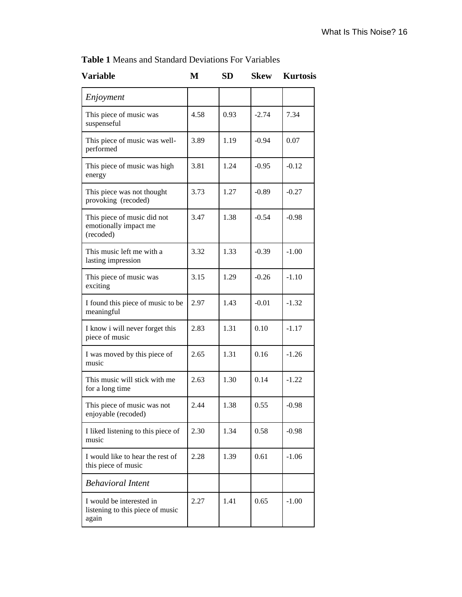| <b>Variable</b>                                                       | М    | <b>SD</b> | <b>Skew</b> | <b>Kurtosis</b> |
|-----------------------------------------------------------------------|------|-----------|-------------|-----------------|
| Enjoyment                                                             |      |           |             |                 |
| This piece of music was<br>suspenseful                                | 4.58 | 0.93      | $-2.74$     | 7.34            |
| This piece of music was well-<br>performed                            | 3.89 | 1.19      | $-0.94$     | 0.07            |
| This piece of music was high<br>energy                                | 3.81 | 1.24      | $-0.95$     | $-0.12$         |
| This piece was not thought<br>provoking (recoded)                     | 3.73 | 1.27      | $-0.89$     | $-0.27$         |
| This piece of music did not<br>emotionally impact me<br>(recoded)     | 3.47 | 1.38      | $-0.54$     | $-0.98$         |
| This music left me with a<br>lasting impression                       | 3.32 | 1.33      | $-0.39$     | $-1.00$         |
| This piece of music was<br>exciting                                   | 3.15 | 1.29      | $-0.26$     | $-1.10$         |
| I found this piece of music to be<br>meaningful                       | 2.97 | 1.43      | $-0.01$     | $-1.32$         |
| I know i will never forget this<br>piece of music                     | 2.83 | 1.31      | 0.10        | $-1.17$         |
| I was moved by this piece of<br>music                                 | 2.65 | 1.31      | 0.16        | $-1.26$         |
| This music will stick with me<br>for a long time                      | 2.63 | 1.30      | 0.14        | $-1.22$         |
| This piece of music was not<br>enjoyable (recoded)                    | 2.44 | 1.38      | 0.55        | $-0.98$         |
| I liked listening to this piece of<br>music                           | 2.30 | 1.34      | 0.58        | $-0.98$         |
| I would like to hear the rest of<br>this piece of music               | 2.28 | 1.39      | 0.61        | $-1.06$         |
| <b>Behavioral Intent</b>                                              |      |           |             |                 |
| I would be interested in<br>listening to this piece of music<br>again | 2.27 | 1.41      | 0.65        | $-1.00$         |

**Table 1** Means and Standard Deviations For Variables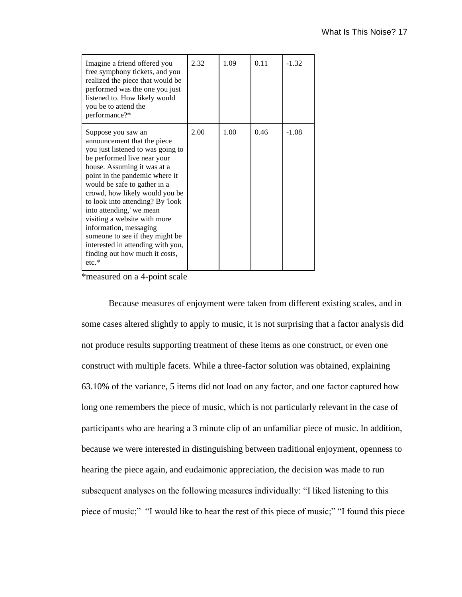| Imagine a friend offered you<br>free symphony tickets, and you<br>realized the piece that would be<br>performed was the one you just<br>listened to. How likely would<br>you be to attend the<br>performance?*                                                                                                                                                                                                                                                                                           | 2.32 | 1.09 | 0.11 | $-1.32$ |
|----------------------------------------------------------------------------------------------------------------------------------------------------------------------------------------------------------------------------------------------------------------------------------------------------------------------------------------------------------------------------------------------------------------------------------------------------------------------------------------------------------|------|------|------|---------|
| Suppose you saw an<br>announcement that the piece<br>you just listened to was going to<br>be performed live near your<br>house. Assuming it was at a<br>point in the pandemic where it<br>would be safe to gather in a<br>crowd, how likely would you be<br>to look into attending? By 'look<br>into attending,' we mean<br>visiting a website with more<br>information, messaging<br>someone to see if they might be<br>interested in attending with you,<br>finding out how much it costs,<br>$etc.$ * | 2.00 | 1.00 | 0.46 | $-1.08$ |

\*measured on a 4-point scale

Because measures of enjoyment were taken from different existing scales, and in some cases altered slightly to apply to music, it is not surprising that a factor analysis did not produce results supporting treatment of these items as one construct, or even one construct with multiple facets. While a three-factor solution was obtained, explaining 63.10% of the variance, 5 items did not load on any factor, and one factor captured how long one remembers the piece of music, which is not particularly relevant in the case of participants who are hearing a 3 minute clip of an unfamiliar piece of music. In addition, because we were interested in distinguishing between traditional enjoyment, openness to hearing the piece again, and eudaimonic appreciation, the decision was made to run subsequent analyses on the following measures individually: "I liked listening to this piece of music;" "I would like to hear the rest of this piece of music;" "I found this piece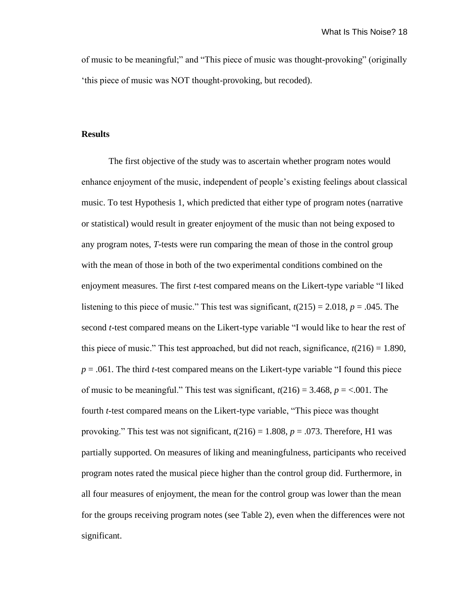of music to be meaningful;" and "This piece of music was thought-provoking" (originally 'this piece of music was NOT thought-provoking, but recoded).

## **Results**

The first objective of the study was to ascertain whether program notes would enhance enjoyment of the music, independent of people's existing feelings about classical music. To test Hypothesis 1, which predicted that either type of program notes (narrative or statistical) would result in greater enjoyment of the music than not being exposed to any program notes, *T*-tests were run comparing the mean of those in the control group with the mean of those in both of the two experimental conditions combined on the enjoyment measures. The first *t*-test compared means on the Likert-type variable "I liked listening to this piece of music." This test was significant,  $t(215) = 2.018$ ,  $p = .045$ . The second *t*-test compared means on the Likert-type variable "I would like to hear the rest of this piece of music." This test approached, but did not reach, significance,  $t(216) = 1.890$ , *p* = .061. The third *t*-test compared means on the Likert-type variable "I found this piece of music to be meaningful." This test was significant,  $t(216) = 3.468$ ,  $p = <.001$ . The fourth *t*-test compared means on the Likert-type variable, "This piece was thought provoking." This test was not significant,  $t(216) = 1.808$ ,  $p = .073$ . Therefore, H1 was partially supported. On measures of liking and meaningfulness, participants who received program notes rated the musical piece higher than the control group did. Furthermore, in all four measures of enjoyment, the mean for the control group was lower than the mean for the groups receiving program notes (see Table 2), even when the differences were not significant.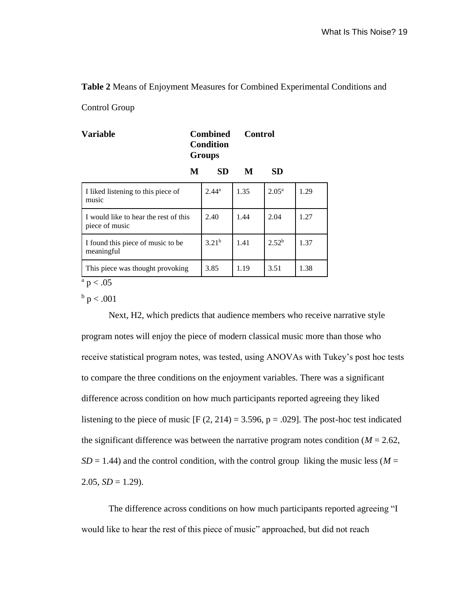### **Table 2** Means of Enjoyment Measures for Combined Experimental Conditions and

Control Group

| <b>Variable</b>                                         |   | <b>Combined</b><br>Condition<br><b>Groups</b> | <b>Control</b> |                   |      |
|---------------------------------------------------------|---|-----------------------------------------------|----------------|-------------------|------|
|                                                         | M | <b>SD</b>                                     | M              | <b>SD</b>         |      |
| I liked listening to this piece of<br>music             |   | $2.44^{\rm a}$                                | 1.35           | $2.05^{\rm a}$    | 1.29 |
| I would like to hear the rest of this<br>piece of music |   | 2.40                                          | 1.44           | 2.04              | 1.27 |
| I found this piece of music to be<br>meaningful         |   | 3.21 <sup>b</sup>                             | 1.41           | 2.52 <sup>b</sup> | 1.37 |
| This piece was thought provoking<br>$\Omega$ $\Omega$   |   | 3.85                                          | 1.19           | 3.51              | 1.38 |

 $a$  p  $< .05$ 

 $^{\rm b}$  p < .001

Next, H2, which predicts that audience members who receive narrative style program notes will enjoy the piece of modern classical music more than those who receive statistical program notes, was tested, using ANOVAs with Tukey's post hoc tests to compare the three conditions on the enjoyment variables. There was a significant difference across condition on how much participants reported agreeing they liked listening to the piece of music  $[F (2, 214) = 3.596, p = .029]$ . The post-hoc test indicated the significant difference was between the narrative program notes condition ( $M = 2.62$ ,  $SD = 1.44$ ) and the control condition, with the control group liking the music less ( $M =$  $2.05$ ,  $SD = 1.29$ ).

The difference across conditions on how much participants reported agreeing "I would like to hear the rest of this piece of music" approached, but did not reach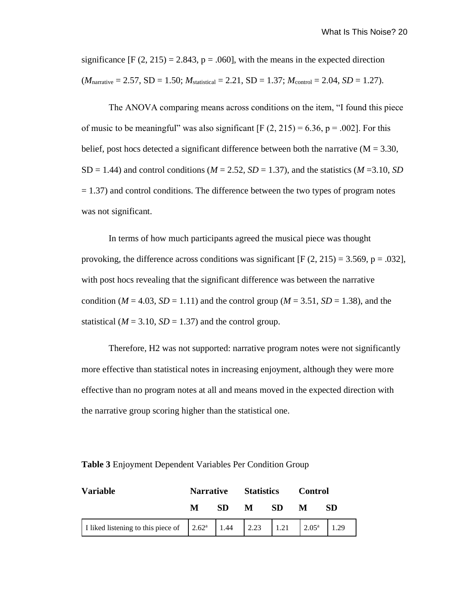significance  $[F (2, 215) = 2.843, p = .060]$ , with the means in the expected direction  $(M_{\text{narrative}} = 2.57, SD = 1.50; M_{\text{statistical}} = 2.21, SD = 1.37; M_{\text{control}} = 2.04, SD = 1.27).$ 

The ANOVA comparing means across conditions on the item, "I found this piece of music to be meaningful" was also significant  $[F (2, 215) = 6.36, p = .002]$ . For this belief, post hocs detected a significant difference between both the narrative ( $M = 3.30$ ,  $SD = 1.44$ ) and control conditions ( $M = 2.52$ ,  $SD = 1.37$ ), and the statistics ( $M = 3.10$ ,  $SD$  $= 1.37$ ) and control conditions. The difference between the two types of program notes was not significant.

In terms of how much participants agreed the musical piece was thought provoking, the difference across conditions was significant  $[F(2, 215) = 3.569, p = .032]$ , with post hocs revealing that the significant difference was between the narrative condition ( $M = 4.03$ ,  $SD = 1.11$ ) and the control group ( $M = 3.51$ ,  $SD = 1.38$ ), and the statistical ( $M = 3.10$ ,  $SD = 1.37$ ) and the control group.

Therefore, H2 was not supported: narrative program notes were not significantly more effective than statistical notes in increasing enjoyment, although they were more effective than no program notes at all and means moved in the expected direction with the narrative group scoring higher than the statistical one.

| Variable |   | <b>Narrative Statistics</b> |   |      | <b>Control</b> |     |
|----------|---|-----------------------------|---|------|----------------|-----|
|          | M | SD.                         | M | - SD | M              | SD. |
|          |   |                             |   |      |                |     |

**Table 3** Enjoyment Dependent Variables Per Condition Group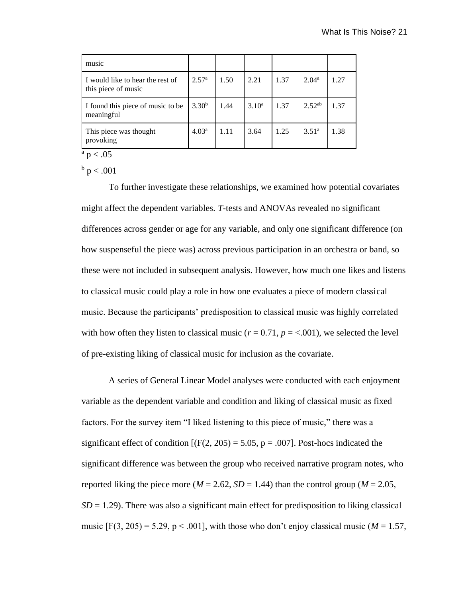| music                                                   |                   |      |          |      |                   |      |
|---------------------------------------------------------|-------------------|------|----------|------|-------------------|------|
| I would like to hear the rest of<br>this piece of music | 2.57 <sup>a</sup> | 1.50 | 2.21     | 1.37 | 2.04 <sup>a</sup> | 1.27 |
| I found this piece of music to be<br>meaningful         | $3.30^{b}$        | 1.44 | $3.10^a$ | 1.37 | $2.52^{ab}$       | 1.37 |
| This piece was thought<br>provoking                     | 4.03 <sup>a</sup> | 1.11 | 3.64     | 1.25 | 3.51 <sup>a</sup> | 1.38 |

 $a$  p  $< .05$ 

 $^{\rm b}$  p  $< .001$ 

To further investigate these relationships, we examined how potential covariates might affect the dependent variables. *T*-tests and ANOVAs revealed no significant differences across gender or age for any variable, and only one significant difference (on how suspenseful the piece was) across previous participation in an orchestra or band, so these were not included in subsequent analysis. However, how much one likes and listens to classical music could play a role in how one evaluates a piece of modern classical music. Because the participants' predisposition to classical music was highly correlated with how often they listen to classical music ( $r = 0.71$ ,  $p = <.001$ ), we selected the level of pre-existing liking of classical music for inclusion as the covariate.

A series of General Linear Model analyses were conducted with each enjoyment variable as the dependent variable and condition and liking of classical music as fixed factors. For the survey item "I liked listening to this piece of music," there was a significant effect of condition  $[(F(2, 205) = 5.05, p = .007]$ . Post-hocs indicated the significant difference was between the group who received narrative program notes, who reported liking the piece more ( $M = 2.62$ ,  $SD = 1.44$ ) than the control group ( $M = 2.05$ ,  $SD = 1.29$ ). There was also a significant main effect for predisposition to liking classical music  $[F(3, 205) = 5.29, p < .001]$ , with those who don't enjoy classical music ( $M = 1.57$ ,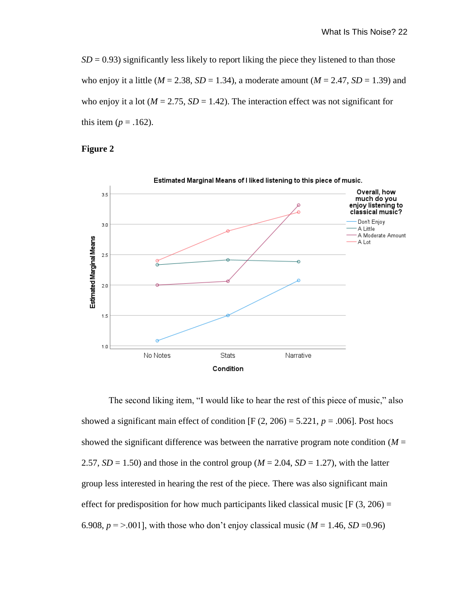$SD = 0.93$ ) significantly less likely to report liking the piece they listened to than those who enjoy it a little ( $M = 2.38$ ,  $SD = 1.34$ ), a moderate amount ( $M = 2.47$ ,  $SD = 1.39$ ) and who enjoy it a lot ( $M = 2.75$ ,  $SD = 1.42$ ). The interaction effect was not significant for this item  $(p = .162)$ .

# **Figure 2**



The second liking item, "I would like to hear the rest of this piece of music," also showed a significant main effect of condition  $[F (2, 206) = 5.221, p = .006]$ . Post hocs showed the significant difference was between the narrative program note condition  $(M =$ 2.57,  $SD = 1.50$ ) and those in the control group ( $M = 2.04$ ,  $SD = 1.27$ ), with the latter group less interested in hearing the rest of the piece. There was also significant main effect for predisposition for how much participants liked classical music  $[F(3, 206) =$ 6.908,  $p = > 0.001$ , with those who don't enjoy classical music ( $M = 1.46$ ,  $SD = 0.96$ )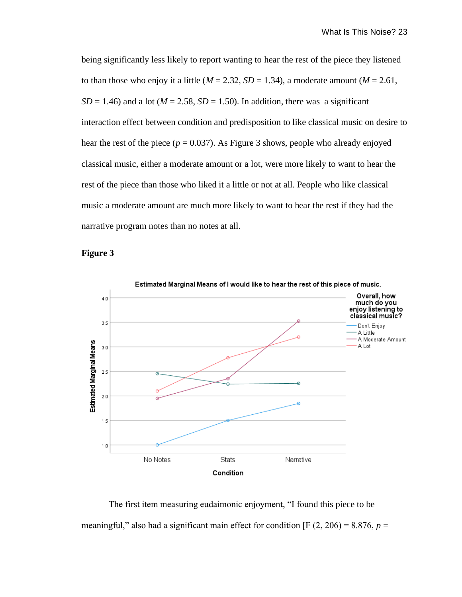being significantly less likely to report wanting to hear the rest of the piece they listened to than those who enjoy it a little ( $M = 2.32$ ,  $SD = 1.34$ ), a moderate amount ( $M = 2.61$ ,  $SD = 1.46$ ) and a lot ( $M = 2.58$ ,  $SD = 1.50$ ). In addition, there was a significant interaction effect between condition and predisposition to like classical music on desire to hear the rest of the piece ( $p = 0.037$ ). As Figure 3 shows, people who already enjoyed classical music, either a moderate amount or a lot, were more likely to want to hear the rest of the piece than those who liked it a little or not at all. People who like classical music a moderate amount are much more likely to want to hear the rest if they had the narrative program notes than no notes at all.

### **Figure 3**



The first item measuring eudaimonic enjoyment, "I found this piece to be meaningful," also had a significant main effect for condition [F  $(2, 206) = 8.876$ ,  $p =$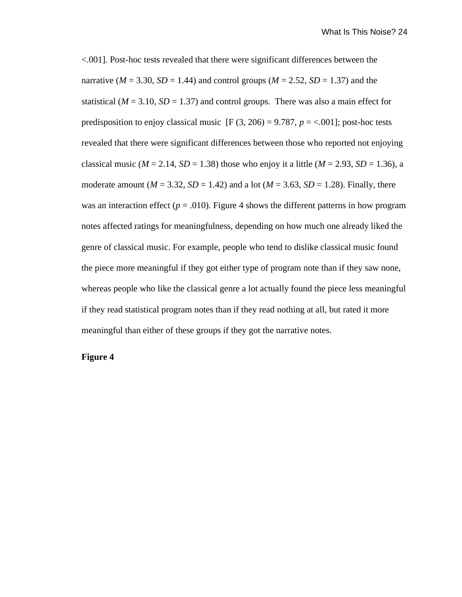<.001]. Post-hoc tests revealed that there were significant differences between the narrative ( $M = 3.30$ ,  $SD = 1.44$ ) and control groups ( $M = 2.52$ ,  $SD = 1.37$ ) and the statistical ( $M = 3.10$ ,  $SD = 1.37$ ) and control groups. There was also a main effect for predisposition to enjoy classical music  $[F (3, 206) = 9.787, p = <.001]$ ; post-hoc tests revealed that there were significant differences between those who reported not enjoying classical music ( $M = 2.14$ ,  $SD = 1.38$ ) those who enjoy it a little ( $M = 2.93$ ,  $SD = 1.36$ ), a moderate amount  $(M = 3.32, SD = 1.42)$  and a lot  $(M = 3.63, SD = 1.28)$ . Finally, there was an interaction effect ( $p = .010$ ). Figure 4 shows the different patterns in how program notes affected ratings for meaningfulness, depending on how much one already liked the genre of classical music. For example, people who tend to dislike classical music found the piece more meaningful if they got either type of program note than if they saw none, whereas people who like the classical genre a lot actually found the piece less meaningful if they read statistical program notes than if they read nothing at all, but rated it more meaningful than either of these groups if they got the narrative notes.

### **Figure 4**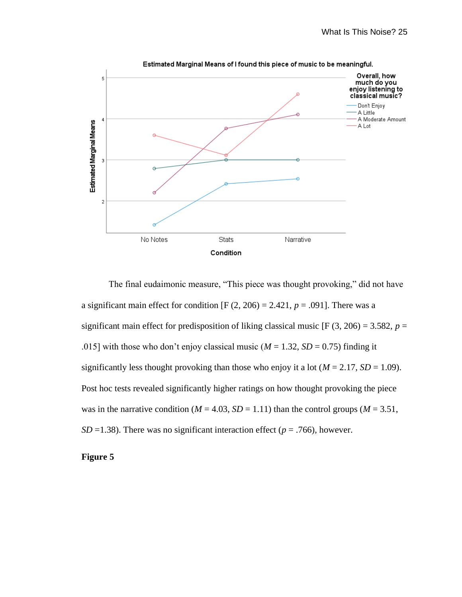

The final eudaimonic measure, "This piece was thought provoking," did not have a significant main effect for condition  $[F (2, 206) = 2.421, p = .091]$ . There was a significant main effect for predisposition of liking classical music  $[F(3, 206) = 3.582, p =$ .015] with those who don't enjoy classical music ( $M = 1.32$ ,  $SD = 0.75$ ) finding it significantly less thought provoking than those who enjoy it a lot ( $M = 2.17$ ,  $SD = 1.09$ ). Post hoc tests revealed significantly higher ratings on how thought provoking the piece was in the narrative condition ( $M = 4.03$ ,  $SD = 1.11$ ) than the control groups ( $M = 3.51$ , *SD* =1.38). There was no significant interaction effect ( $p = .766$ ), however.

### **Figure 5**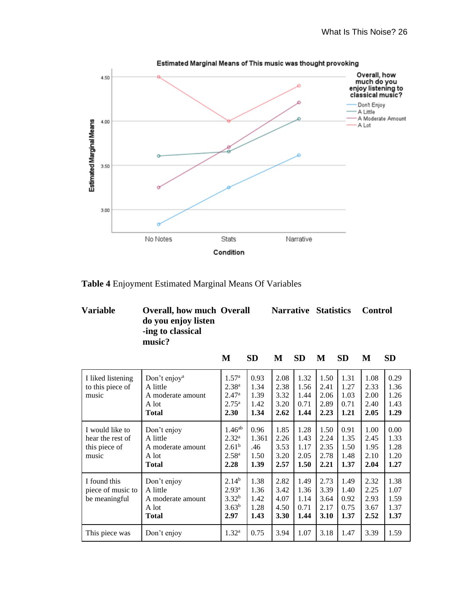

**Table 4** Enjoyment Estimated Marginal Means Of Variables

| <b>Variable</b> | <b>Overall, how much Overall</b><br>do you enjoy listen<br>-ing to classical<br>music? |   |     |   | <b>Narrative Statistics</b> |   |     | <b>Control</b> |     |
|-----------------|----------------------------------------------------------------------------------------|---|-----|---|-----------------------------|---|-----|----------------|-----|
|                 |                                                                                        | M | SD. | М | <b>SD</b>                   | M | -SD |                | -SD |

| I liked listening<br>to this piece of<br>music                | Don't enjoy <sup>a</sup><br>A little<br>A moderate amount<br>A lot<br><b>Total</b> | $1.57^{\rm a}$<br>2.38 <sup>a</sup><br>2.47 <sup>a</sup><br>$2.75^{\rm a}$<br>2.30 | 0.93<br>1.34<br>1.39<br>1.42<br>1.34 | 2.08<br>2.38<br>3.32<br>3.20<br>2.62 | 1.32<br>1.56<br>1.44<br>0.71<br>1.44 | 1.50<br>2.41<br>2.06<br>2.89<br>2.23 | 1.31<br>1.27<br>1.03<br>0.71<br>1.21 | 1.08<br>2.33<br>2.00<br>2.40<br>2.05 | 0.29<br>1.36<br>1.26<br>1.43<br>1.29 |
|---------------------------------------------------------------|------------------------------------------------------------------------------------|------------------------------------------------------------------------------------|--------------------------------------|--------------------------------------|--------------------------------------|--------------------------------------|--------------------------------------|--------------------------------------|--------------------------------------|
| I would like to<br>hear the rest of<br>this piece of<br>music | Don't enjoy<br>A little<br>A moderate amount<br>A lot<br><b>Total</b>              | $1.46^{ab}$<br>$2.32^{\rm a}$<br>2.61 <sup>b</sup><br>2.58 <sup>a</sup><br>2.28    | 0.96<br>1.361<br>.46<br>1.50<br>1.39 | 1.85<br>2.26<br>3.53<br>3.20<br>2.57 | 1.28<br>1.43<br>1.17<br>2.05<br>1.50 | 1.50<br>2.24<br>2.35<br>2.78<br>2.21 | 0.91<br>1.35<br>1.50<br>1.48<br>1.37 | 1.00<br>2.45<br>1.95<br>2.10<br>2.04 | 0.00<br>1.33<br>1.28<br>1.20<br>1.27 |
| I found this<br>piece of music to<br>be meaningful            | Don't enjoy<br>A little<br>A moderate amount<br>A lot<br><b>Total</b>              | $2.14^{b}$<br>$2.93^{\rm a}$<br>3.32 <sup>b</sup><br>3.63 <sup>b</sup><br>2.97     | 1.38<br>1.36<br>1.42<br>1.28<br>1.43 | 2.82<br>3.42<br>4.07<br>4.50<br>3.30 | 1.49<br>1.36<br>1.14<br>0.71<br>1.44 | 2.73<br>3.39<br>3.64<br>2.17<br>3.10 | 1.49<br>1.40<br>0.92<br>0.75<br>1.37 | 2.32<br>2.25<br>2.93<br>3.67<br>2.52 | 1.38<br>1.07<br>1.59<br>1.37<br>1.37 |
| This piece was                                                | Don't enjoy                                                                        | $1.32^{\rm a}$                                                                     | 0.75                                 | 3.94                                 | 1.07                                 | 3.18                                 | 1.47                                 | 3.39                                 | 1.59                                 |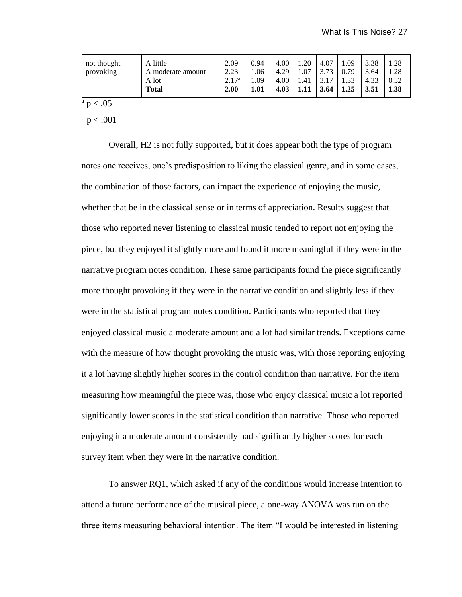| A little<br>not thought<br>provoking<br>A moderate amount<br>A lot<br><b>Total</b> | 2.09<br>2.23<br>2.17 <sup>a</sup><br>2.00 | 0.94<br>1.06<br>.09<br>1.01 | 4.00<br>4.29<br>4.00<br>4.03 | .20<br>.07<br>.41 | 4.07<br>3.73<br>3.17<br>3.64 | . 09<br>0.79<br>1.33<br>1.25 | 3.38<br>3.64<br>4.33<br>3.51 | .28<br>.28<br>0.52<br>1.38 |
|------------------------------------------------------------------------------------|-------------------------------------------|-----------------------------|------------------------------|-------------------|------------------------------|------------------------------|------------------------------|----------------------------|
|------------------------------------------------------------------------------------|-------------------------------------------|-----------------------------|------------------------------|-------------------|------------------------------|------------------------------|------------------------------|----------------------------|

 $a$  p  $< .05$ 

 $^{\rm b}$  p < .001

Overall, H2 is not fully supported, but it does appear both the type of program notes one receives, one's predisposition to liking the classical genre, and in some cases, the combination of those factors, can impact the experience of enjoying the music, whether that be in the classical sense or in terms of appreciation. Results suggest that those who reported never listening to classical music tended to report not enjoying the piece, but they enjoyed it slightly more and found it more meaningful if they were in the narrative program notes condition. These same participants found the piece significantly more thought provoking if they were in the narrative condition and slightly less if they were in the statistical program notes condition. Participants who reported that they enjoyed classical music a moderate amount and a lot had similar trends. Exceptions came with the measure of how thought provoking the music was, with those reporting enjoying it a lot having slightly higher scores in the control condition than narrative. For the item measuring how meaningful the piece was, those who enjoy classical music a lot reported significantly lower scores in the statistical condition than narrative. Those who reported enjoying it a moderate amount consistently had significantly higher scores for each survey item when they were in the narrative condition.

To answer RQ1, which asked if any of the conditions would increase intention to attend a future performance of the musical piece, a one-way ANOVA was run on the three items measuring behavioral intention. The item "I would be interested in listening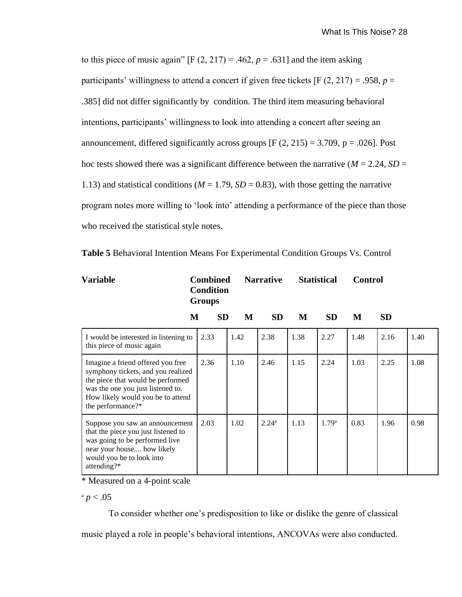to this piece of music again"  $[F (2, 217) = .462, p = .631]$  and the item asking participants' willingness to attend a concert if given free tickets [F  $(2, 217) = .958$ ,  $p =$ .385] did not differ significantly by condition. The third item measuring behavioral intentions, participants' willingness to look into attending a concert after seeing an announcement, differed significantly across groups  $[F (2, 215) = 3.709, p = .026]$ . Post hoc tests showed there was a significant difference between the narrative ( $M = 2.24$ ,  $SD =$ 1.13) and statistical conditions ( $M = 1.79$ ,  $SD = 0.83$ ), with those getting the narrative program notes more willing to 'look into' attending a performance of the piece than those who received the statistical style notes.

| <b>Variable</b>                                                                                                                                                                                             | <b>Combined</b><br><b>Condition</b><br><b>Groups</b> |      | <b>Narrative</b>  |      | <b>Statistical</b> | <b>Control</b> |           |      |
|-------------------------------------------------------------------------------------------------------------------------------------------------------------------------------------------------------------|------------------------------------------------------|------|-------------------|------|--------------------|----------------|-----------|------|
|                                                                                                                                                                                                             | <b>SD</b><br>M                                       | M    | <b>SD</b>         | M    | <b>SD</b>          | M              | <b>SD</b> |      |
| I would be interested in listening to<br>this piece of music again                                                                                                                                          | 2.33                                                 | 1.42 | 2.38              | 1.38 | 2.27               | 1.48           | 2.16      | 1.40 |
| Imagine a friend offered you free<br>symphony tickets, and you realized<br>the piece that would be performed<br>was the one you just listened to.<br>How likely would you be to attend<br>the performance?* | 2.36                                                 | 1.10 | 2.46              | 1.15 | 2.24               | 1.03           | 2.25      | 1.08 |
| Suppose you saw an announcement<br>that the piece you just listened to<br>was going to be performed live<br>near your house how likely<br>would you be to look into<br>attending?*                          | 2.03                                                 | 1.02 | 2.24 <sup>a</sup> | 1.13 | 1.79 <sup>a</sup>  | 0.83           | 1.96      | 0.98 |

\* Measured on a 4-point scale

 $a$  *p* < .05

To consider whether one's predisposition to like or dislike the genre of classical music played a role in people's behavioral intentions, ANCOVAs were also conducted.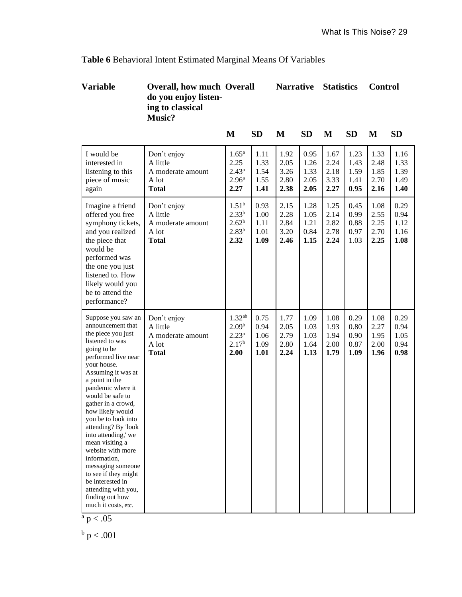# **Table 6** Behavioral Intent Estimated Marginal Means Of Variables

# **Variable Overall, how much Overall Narrative Statistics Control do you enjoy listen ing to classical Music?**

|                                                                                                                                                                                                                                                                                                                                                                                                                                                                                                                                 |                                                                       | $\mathbf{M}$                                                                | <b>SD</b>                            | M                                    | <b>SD</b>                            | M                                    | <b>SD</b>                            | M                                    | <b>SD</b>                            |
|---------------------------------------------------------------------------------------------------------------------------------------------------------------------------------------------------------------------------------------------------------------------------------------------------------------------------------------------------------------------------------------------------------------------------------------------------------------------------------------------------------------------------------|-----------------------------------------------------------------------|-----------------------------------------------------------------------------|--------------------------------------|--------------------------------------|--------------------------------------|--------------------------------------|--------------------------------------|--------------------------------------|--------------------------------------|
| I would be<br>interested in<br>listening to this<br>piece of music<br>again                                                                                                                                                                                                                                                                                                                                                                                                                                                     | Don't enjoy<br>A little<br>A moderate amount<br>A lot<br><b>Total</b> | $1.65^{\rm a}$<br>2.25<br>$2.43^a$<br>2.96 <sup>a</sup><br>2.27             | 1.11<br>1.33<br>1.54<br>1.55<br>1.41 | 1.92<br>2.05<br>3.26<br>2.80<br>2.38 | 0.95<br>1.26<br>1.33<br>2.05<br>2.05 | 1.67<br>2.24<br>2.18<br>3.33<br>2.27 | 1.23<br>1.43<br>1.59<br>1.41<br>0.95 | 1.33<br>2.48<br>1.85<br>2.70<br>2.16 | 1.16<br>1.33<br>1.39<br>1.49<br>1.40 |
| Imagine a friend<br>offered you free<br>symphony tickets,<br>and you realized<br>the piece that<br>would be<br>performed was<br>the one you just<br>listened to. How<br>likely would you<br>be to attend the<br>performance?                                                                                                                                                                                                                                                                                                    | Don't enjoy<br>A little<br>A moderate amount<br>A lot<br><b>Total</b> | $1.51^b$<br>$2.33^{b}$<br>$2.62^{b}$<br>$2.83^{b}$<br>2.32                  | 0.93<br>1.00<br>1.11<br>1.01<br>1.09 | 2.15<br>2.28<br>2.84<br>3.20<br>2.46 | 1.28<br>1.05<br>1.21<br>0.84<br>1.15 | 1.25<br>2.14<br>2.82<br>2.78<br>2.24 | 0.45<br>0.99<br>0.88<br>0.97<br>1.03 | 1.08<br>2.55<br>2.25<br>2.70<br>2.25 | 0.29<br>0.94<br>1.12<br>1.16<br>1.08 |
| Suppose you saw an<br>announcement that<br>the piece you just<br>listened to was<br>going to be<br>performed live near<br>your house.<br>Assuming it was at<br>a point in the<br>pandemic where it<br>would be safe to<br>gather in a crowd,<br>how likely would<br>you be to look into<br>attending? By 'look<br>into attending,' we<br>mean visiting a<br>website with more<br>information,<br>messaging someone<br>to see if they might<br>be interested in<br>attending with you,<br>finding out how<br>much it costs, etc. | Don't enjoy<br>A little<br>A moderate amount<br>A lot<br><b>Total</b> | $1.32^{ab}$<br>2.09 <sup>b</sup><br>$2.23^{a}$<br>2.17 <sup>b</sup><br>2.00 | 0.75<br>0.94<br>1.06<br>1.09<br>1.01 | 1.77<br>2.05<br>2.79<br>2.80<br>2.24 | 1.09<br>1.03<br>1.03<br>1.64<br>1.13 | 1.08<br>1.93<br>1.94<br>2.00<br>1.79 | 0.29<br>0.80<br>0.90<br>0.87<br>1.09 | 1.08<br>2.27<br>1.95<br>2.00<br>1.96 | 0.29<br>0.94<br>1.05<br>0.94<br>0.98 |

$$
^a\ p < .05
$$

 $^{\rm b}$  p < .001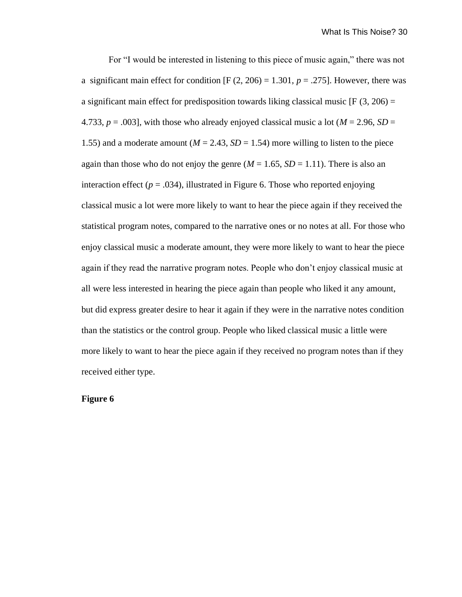For "I would be interested in listening to this piece of music again," there was not a significant main effect for condition  $[F (2, 206) = 1.301, p = .275]$ . However, there was a significant main effect for predisposition towards liking classical music  $[F(3, 206) =$ 4.733,  $p = .003$ , with those who already enjoyed classical music a lot ( $M = 2.96$ ,  $SD =$ 1.55) and a moderate amount ( $M = 2.43$ ,  $SD = 1.54$ ) more willing to listen to the piece again than those who do not enjoy the genre  $(M = 1.65, SD = 1.11)$ . There is also an interaction effect  $(p = .034)$ , illustrated in Figure 6. Those who reported enjoying classical music a lot were more likely to want to hear the piece again if they received the statistical program notes, compared to the narrative ones or no notes at all. For those who enjoy classical music a moderate amount, they were more likely to want to hear the piece again if they read the narrative program notes. People who don't enjoy classical music at all were less interested in hearing the piece again than people who liked it any amount, but did express greater desire to hear it again if they were in the narrative notes condition than the statistics or the control group. People who liked classical music a little were more likely to want to hear the piece again if they received no program notes than if they received either type.

# **Figure 6**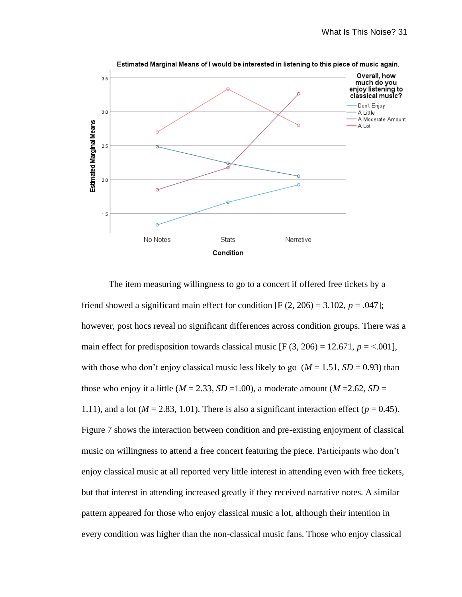

The item measuring willingness to go to a concert if offered free tickets by a friend showed a significant main effect for condition  $[F(2, 206) = 3.102, p = .047]$ ; however, post hocs reveal no significant differences across condition groups. There was a main effect for predisposition towards classical music  $[F(3, 206) = 12.671, p = <.001]$ , with those who don't enjoy classical music less likely to go  $(M = 1.51, SD = 0.93)$  than those who enjoy it a little ( $M = 2.33$ ,  $SD = 1.00$ ), a moderate amount ( $M = 2.62$ ,  $SD =$ 1.11), and a lot ( $M = 2.83$ , 1.01). There is also a significant interaction effect ( $p = 0.45$ ). Figure 7 shows the interaction between condition and pre-existing enjoyment of classical music on willingness to attend a free concert featuring the piece. Participants who don't enjoy classical music at all reported very little interest in attending even with free tickets, but that interest in attending increased greatly if they received narrative notes. A similar pattern appeared for those who enjoy classical music a lot, although their intention in every condition was higher than the non-classical music fans. Those who enjoy classical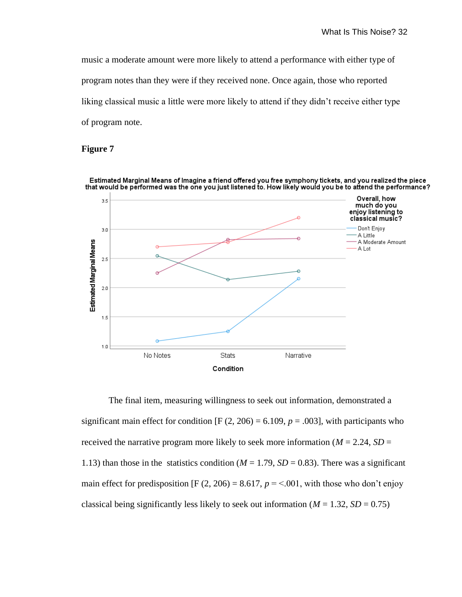music a moderate amount were more likely to attend a performance with either type of program notes than they were if they received none. Once again, those who reported liking classical music a little were more likely to attend if they didn't receive either type of program note.

# **Figure 7**



The final item, measuring willingness to seek out information, demonstrated a significant main effect for condition  $[F (2, 206) = 6.109, p = .003]$ , with participants who received the narrative program more likely to seek more information ( $M = 2.24$ ,  $SD =$ 1.13) than those in the statistics condition ( $M = 1.79$ ,  $SD = 0.83$ ). There was a significant main effect for predisposition [F  $(2, 206) = 8.617$ ,  $p = 5.001$ , with those who don't enjoy classical being significantly less likely to seek out information ( $M = 1.32$ ,  $SD = 0.75$ )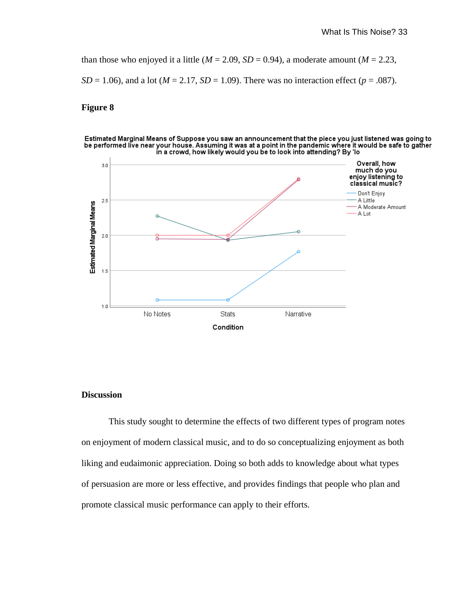than those who enjoyed it a little ( $M = 2.09$ ,  $SD = 0.94$ ), a moderate amount ( $M = 2.23$ , *SD* = 1.06), and a lot ( $M = 2.17$ , *SD* = 1.09). There was no interaction effect ( $p = .087$ ).

### **Figure 8**





### **Discussion**

This study sought to determine the effects of two different types of program notes on enjoyment of modern classical music, and to do so conceptualizing enjoyment as both liking and eudaimonic appreciation. Doing so both adds to knowledge about what types of persuasion are more or less effective, and provides findings that people who plan and promote classical music performance can apply to their efforts.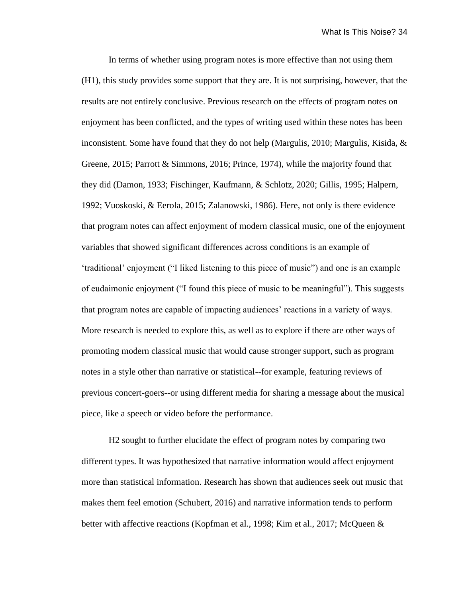In terms of whether using program notes is more effective than not using them (H1), this study provides some support that they are. It is not surprising, however, that the results are not entirely conclusive. Previous research on the effects of program notes on enjoyment has been conflicted, and the types of writing used within these notes has been inconsistent. Some have found that they do not help (Margulis, 2010; Margulis, Kisida,  $\&$ Greene, 2015; Parrott & Simmons, 2016; Prince, 1974), while the majority found that they did (Damon, 1933; Fischinger, Kaufmann, & Schlotz, 2020; Gillis, 1995; Halpern, 1992; Vuoskoski, & Eerola, 2015; Zalanowski, 1986). Here, not only is there evidence that program notes can affect enjoyment of modern classical music, one of the enjoyment variables that showed significant differences across conditions is an example of 'traditional' enjoyment ("I liked listening to this piece of music") and one is an example of eudaimonic enjoyment ("I found this piece of music to be meaningful"). This suggests that program notes are capable of impacting audiences' reactions in a variety of ways. More research is needed to explore this, as well as to explore if there are other ways of promoting modern classical music that would cause stronger support, such as program notes in a style other than narrative or statistical--for example, featuring reviews of previous concert-goers--or using different media for sharing a message about the musical piece, like a speech or video before the performance.

H2 sought to further elucidate the effect of program notes by comparing two different types. It was hypothesized that narrative information would affect enjoyment more than statistical information. Research has shown that audiences seek out music that makes them feel emotion (Schubert, 2016) and narrative information tends to perform better with affective reactions (Kopfman et al., 1998; Kim et al., 2017; McQueen &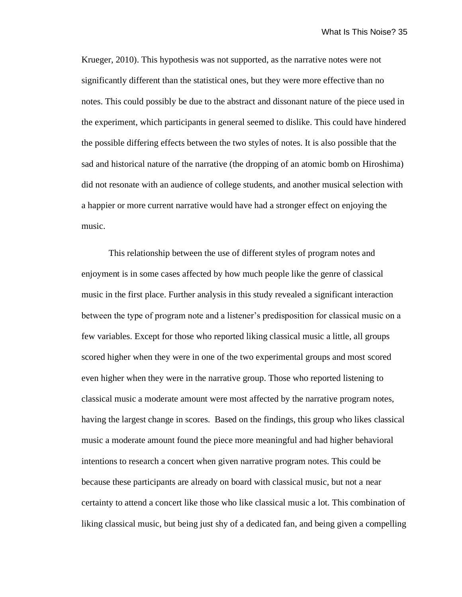Krueger, 2010). This hypothesis was not supported, as the narrative notes were not significantly different than the statistical ones, but they were more effective than no notes. This could possibly be due to the abstract and dissonant nature of the piece used in the experiment, which participants in general seemed to dislike. This could have hindered the possible differing effects between the two styles of notes. It is also possible that the sad and historical nature of the narrative (the dropping of an atomic bomb on Hiroshima) did not resonate with an audience of college students, and another musical selection with a happier or more current narrative would have had a stronger effect on enjoying the music.

This relationship between the use of different styles of program notes and enjoyment is in some cases affected by how much people like the genre of classical music in the first place. Further analysis in this study revealed a significant interaction between the type of program note and a listener's predisposition for classical music on a few variables. Except for those who reported liking classical music a little, all groups scored higher when they were in one of the two experimental groups and most scored even higher when they were in the narrative group. Those who reported listening to classical music a moderate amount were most affected by the narrative program notes, having the largest change in scores. Based on the findings, this group who likes classical music a moderate amount found the piece more meaningful and had higher behavioral intentions to research a concert when given narrative program notes. This could be because these participants are already on board with classical music, but not a near certainty to attend a concert like those who like classical music a lot. This combination of liking classical music, but being just shy of a dedicated fan, and being given a compelling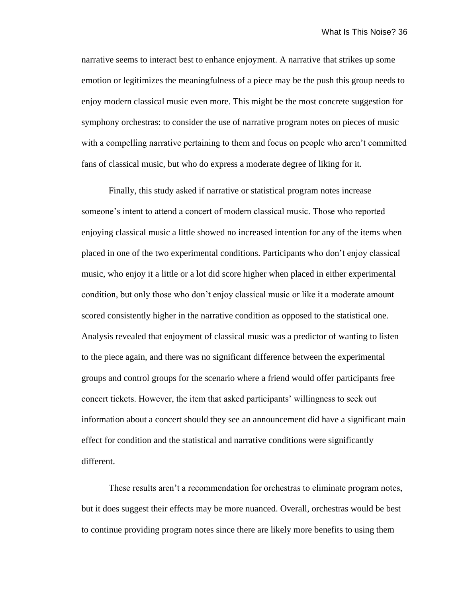narrative seems to interact best to enhance enjoyment. A narrative that strikes up some emotion or legitimizes the meaningfulness of a piece may be the push this group needs to enjoy modern classical music even more. This might be the most concrete suggestion for symphony orchestras: to consider the use of narrative program notes on pieces of music with a compelling narrative pertaining to them and focus on people who aren't committed fans of classical music, but who do express a moderate degree of liking for it.

Finally, this study asked if narrative or statistical program notes increase someone's intent to attend a concert of modern classical music. Those who reported enjoying classical music a little showed no increased intention for any of the items when placed in one of the two experimental conditions. Participants who don't enjoy classical music, who enjoy it a little or a lot did score higher when placed in either experimental condition, but only those who don't enjoy classical music or like it a moderate amount scored consistently higher in the narrative condition as opposed to the statistical one. Analysis revealed that enjoyment of classical music was a predictor of wanting to listen to the piece again, and there was no significant difference between the experimental groups and control groups for the scenario where a friend would offer participants free concert tickets. However, the item that asked participants' willingness to seek out information about a concert should they see an announcement did have a significant main effect for condition and the statistical and narrative conditions were significantly different.

These results aren't a recommendation for orchestras to eliminate program notes, but it does suggest their effects may be more nuanced. Overall, orchestras would be best to continue providing program notes since there are likely more benefits to using them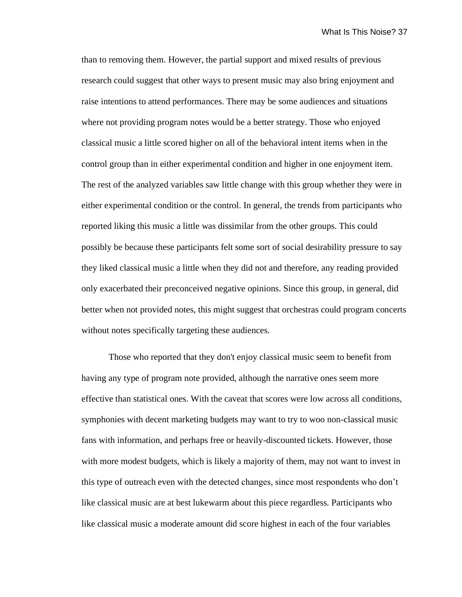than to removing them. However, the partial support and mixed results of previous research could suggest that other ways to present music may also bring enjoyment and raise intentions to attend performances. There may be some audiences and situations where not providing program notes would be a better strategy. Those who enjoyed classical music a little scored higher on all of the behavioral intent items when in the control group than in either experimental condition and higher in one enjoyment item. The rest of the analyzed variables saw little change with this group whether they were in either experimental condition or the control. In general, the trends from participants who reported liking this music a little was dissimilar from the other groups. This could possibly be because these participants felt some sort of social desirability pressure to say they liked classical music a little when they did not and therefore, any reading provided only exacerbated their preconceived negative opinions. Since this group, in general, did better when not provided notes, this might suggest that orchestras could program concerts without notes specifically targeting these audiences.

Those who reported that they don't enjoy classical music seem to benefit from having any type of program note provided, although the narrative ones seem more effective than statistical ones. With the caveat that scores were low across all conditions, symphonies with decent marketing budgets may want to try to woo non-classical music fans with information, and perhaps free or heavily-discounted tickets. However, those with more modest budgets, which is likely a majority of them, may not want to invest in this type of outreach even with the detected changes, since most respondents who don't like classical music are at best lukewarm about this piece regardless. Participants who like classical music a moderate amount did score highest in each of the four variables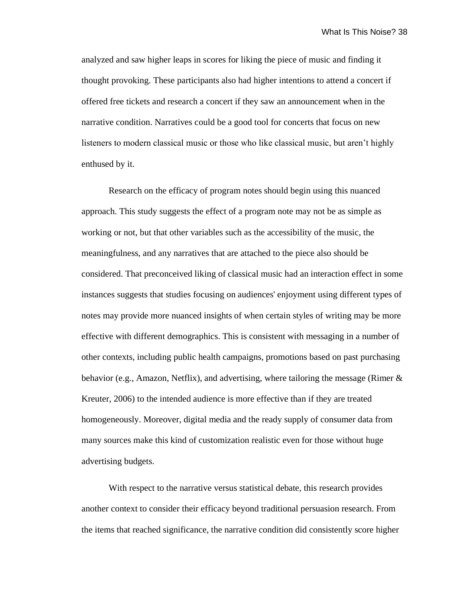analyzed and saw higher leaps in scores for liking the piece of music and finding it thought provoking. These participants also had higher intentions to attend a concert if offered free tickets and research a concert if they saw an announcement when in the narrative condition. Narratives could be a good tool for concerts that focus on new listeners to modern classical music or those who like classical music, but aren't highly enthused by it.

Research on the efficacy of program notes should begin using this nuanced approach. This study suggests the effect of a program note may not be as simple as working or not, but that other variables such as the accessibility of the music, the meaningfulness, and any narratives that are attached to the piece also should be considered. That preconceived liking of classical music had an interaction effect in some instances suggests that studies focusing on audiences' enjoyment using different types of notes may provide more nuanced insights of when certain styles of writing may be more effective with different demographics. This is consistent with messaging in a number of other contexts, including public health campaigns, promotions based on past purchasing behavior (e.g., Amazon, Netflix), and advertising, where tailoring the message (Rimer  $\&$ Kreuter, 2006) to the intended audience is more effective than if they are treated homogeneously. Moreover, digital media and the ready supply of consumer data from many sources make this kind of customization realistic even for those without huge advertising budgets.

With respect to the narrative versus statistical debate, this research provides another context to consider their efficacy beyond traditional persuasion research. From the items that reached significance, the narrative condition did consistently score higher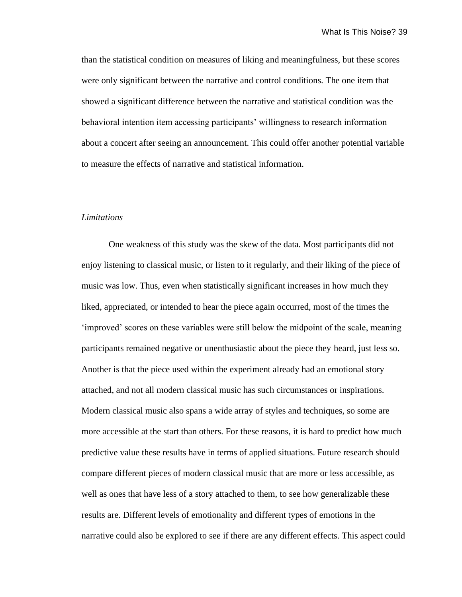than the statistical condition on measures of liking and meaningfulness, but these scores were only significant between the narrative and control conditions. The one item that showed a significant difference between the narrative and statistical condition was the behavioral intention item accessing participants' willingness to research information about a concert after seeing an announcement. This could offer another potential variable to measure the effects of narrative and statistical information.

#### *Limitations*

One weakness of this study was the skew of the data. Most participants did not enjoy listening to classical music, or listen to it regularly, and their liking of the piece of music was low. Thus, even when statistically significant increases in how much they liked, appreciated, or intended to hear the piece again occurred, most of the times the 'improved' scores on these variables were still below the midpoint of the scale, meaning participants remained negative or unenthusiastic about the piece they heard, just less so. Another is that the piece used within the experiment already had an emotional story attached, and not all modern classical music has such circumstances or inspirations. Modern classical music also spans a wide array of styles and techniques, so some are more accessible at the start than others. For these reasons, it is hard to predict how much predictive value these results have in terms of applied situations. Future research should compare different pieces of modern classical music that are more or less accessible, as well as ones that have less of a story attached to them, to see how generalizable these results are. Different levels of emotionality and different types of emotions in the narrative could also be explored to see if there are any different effects. This aspect could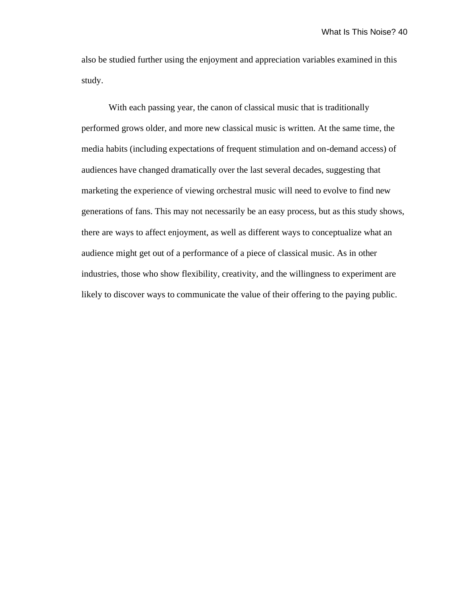also be studied further using the enjoyment and appreciation variables examined in this study.

With each passing year, the canon of classical music that is traditionally performed grows older, and more new classical music is written. At the same time, the media habits (including expectations of frequent stimulation and on-demand access) of audiences have changed dramatically over the last several decades, suggesting that marketing the experience of viewing orchestral music will need to evolve to find new generations of fans. This may not necessarily be an easy process, but as this study shows, there are ways to affect enjoyment, as well as different ways to conceptualize what an audience might get out of a performance of a piece of classical music. As in other industries, those who show flexibility, creativity, and the willingness to experiment are likely to discover ways to communicate the value of their offering to the paying public.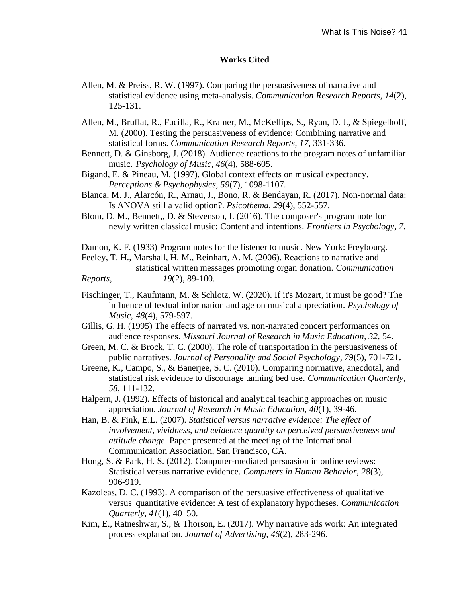## **Works Cited**

- Allen, M. & Preiss, R. W. (1997). Comparing the persuasiveness of narrative and statistical evidence using meta-analysis. *Communication Research Reports*, *14*(2), 125-131.
- Allen, M., Bruflat, R., Fucilla, R., Kramer, M., McKellips, S., Ryan, D. J., & Spiegelhoff, M. (2000). Testing the persuasiveness of evidence: Combining narrative and statistical forms. *Communication Research Reports, 17,* 331-336.
- Bennett, D. & Ginsborg, J. (2018). Audience reactions to the program notes of unfamiliar music. *Psychology of Music, 46*(4), 588-605.
- Bigand, E. & Pineau, M. (1997). Global context effects on musical expectancy. *Perceptions & Psychophysics, 59*(7), 1098-1107.
- Blanca, M. J., Alarcón, R., Arnau, J., Bono, R. & Bendayan, R. (2017). Non-normal data: Is ANOVA still a valid option?. *Psicothema, 29*(4), 552-557.
- Blom, D. M., Bennett,, D. & Stevenson, I. (2016). The composer's program note for newly written classical music: Content and intentions. *Frontiers in Psychology, 7*.
- Damon, K. F. (1933) Program notes for the listener to music. New York: Freybourg.
- Feeley, T. H., Marshall, H. M., Reinhart, A. M. (2006). Reactions to narrative and statistical written messages promoting organ donation. *Communication Reports, 19*(2), 89-100.
- Fischinger, T., Kaufmann, M. & Schlotz, W. (2020). If it's Mozart, it must be good? The influence of textual information and age on musical appreciation. *Psychology of Music, 48*(4), 579-597.
- Gillis, G. H. (1995) The effects of narrated vs. non-narrated concert performances on audience responses. *Missouri Journal of Research in Music Education, 32*, 54.
- Green, M. C. & Brock, T. C. (2000). The role of transportation in the persuasiveness of public narratives. *Journal of Personality and Social Psychology, 79*(5), 701-721**.**
- Greene, K., Campo, S., & Banerjee, S. C. (2010). Comparing normative, anecdotal, and statistical risk evidence to discourage tanning bed use. *Communication Quarterly, 58,* 111-132.
- Halpern, J. (1992). Effects of historical and analytical teaching approaches on music appreciation. *Journal of Research in Music Education, 40*(1), 39-46.
- Han, B. & Fink, E.L. (2007). *Statistical versus narrative evidence: The effect of involvement, vividness, and evidence quantity on perceived persuasiveness and attitude change*. Paper presented at the meeting of the International Communication Association, San Francisco, CA.
- Hong, S. & Park, H. S. (2012). Computer-mediated persuasion in online reviews: Statistical versus narrative evidence. *Computers in Human Behavior, 28*(3), 906-919.
- Kazoleas, D. C. (1993). A comparison of the persuasive effectiveness of qualitative versus quantitative evidence: A test of explanatory hypotheses. *Communication Quarterly, 41*(1)*,* 40–50.
- Kim, E., Ratneshwar, S., & Thorson, E. (2017). Why narrative ads work: An integrated process explanation. *Journal of Advertising, 46*(2), 283-296.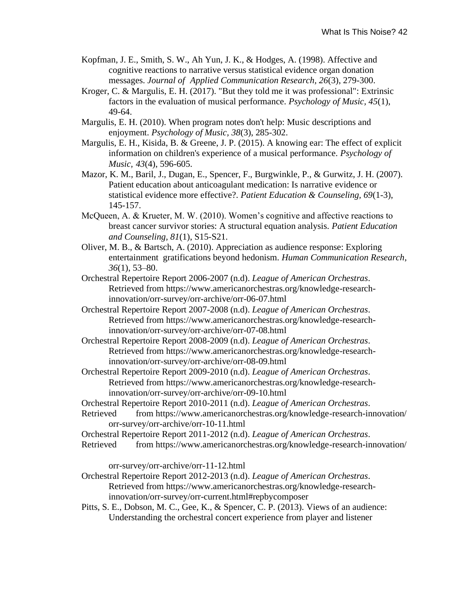- Kopfman, J. E., Smith, S. W., Ah Yun, J. K., & Hodges, A. (1998). Affective and cognitive reactions to narrative versus statistical evidence organ donation messages. *Journal of Applied Communication Research, 26*(3), 279-300.
- Kroger, C. & Margulis, E. H. (2017). "But they told me it was professional": Extrinsic factors in the evaluation of musical performance. *Psychology of Music, 45*(1), 49-64.
- Margulis, E. H. (2010). When program notes don't help: Music descriptions and enjoyment. *Psychology of Music, 38*(3), 285-302.
- Margulis, E. H., Kisida, B. & Greene, J. P. (2015). A knowing ear: The effect of explicit information on children's experience of a musical performance. *Psychology of Music, 43*(4), 596-605.
- Mazor, K. M., Baril, J., Dugan, E., Spencer, F., Burgwinkle, P., & Gurwitz, J. H. (2007). Patient education about anticoagulant medication: Is narrative evidence or statistical evidence more effective?. *Patient Education & Counseling, 69*(1-3), 145-157.
- McQueen, A. & Krueter, M. W. (2010). Women's cognitive and affective reactions to breast cancer survivor stories: A structural equation analysis. *Patient Education and Counseling, 81*(1), S15-S21.
- Oliver, M. B., & Bartsch, A. (2010). Appreciation as audience response: Exploring entertainment gratifications beyond hedonism. *Human Communication Research*, *36*(1), 53–80.
- Orchestral Repertoire Report 2006-2007 (n.d). *League of American Orchestras*. Retrieved from https://www.americanorchestras.org/knowledge-researchinnovation/orr-survey/orr-archive/orr-06-07.html
- Orchestral Repertoire Report 2007-2008 (n.d). *League of American Orchestras*. Retrieved from https://www.americanorchestras.org/knowledge-researchinnovation/orr-survey/orr-archive/orr-07-08.html
- Orchestral Repertoire Report 2008-2009 (n.d). *League of American Orchestras*. Retrieved from https://www.americanorchestras.org/knowledge-researchinnovation/orr-survey/orr-archive/orr-08-09.html
- Orchestral Repertoire Report 2009-2010 (n.d). *League of American Orchestras*. Retrieved from https://www.americanorchestras.org/knowledge-researchinnovation/orr-survey/orr-archive/orr-09-10.html
- Orchestral Repertoire Report 2010-2011 (n.d). *League of American Orchestras*.
- Retrieved from https://www.americanorchestras.org/knowledge-research-innovation/ orr-survey/orr-archive/orr-10-11.html
- Orchestral Repertoire Report 2011-2012 (n.d). *League of American Orchestras*.
- Retrieved from https://www.americanorchestras.org/knowledge-research-innovation/

orr-survey/orr-archive/orr-11-12.html

- Orchestral Repertoire Report 2012-2013 (n.d). *League of American Orchestras*. Retrieved from https://www.americanorchestras.org/knowledge-researchinnovation/orr-survey/orr-current.html#repbycomposer
- Pitts, S. E., Dobson, M. C., Gee, K., & Spencer, C. P. (2013). Views of an audience: Understanding the orchestral concert experience from player and listener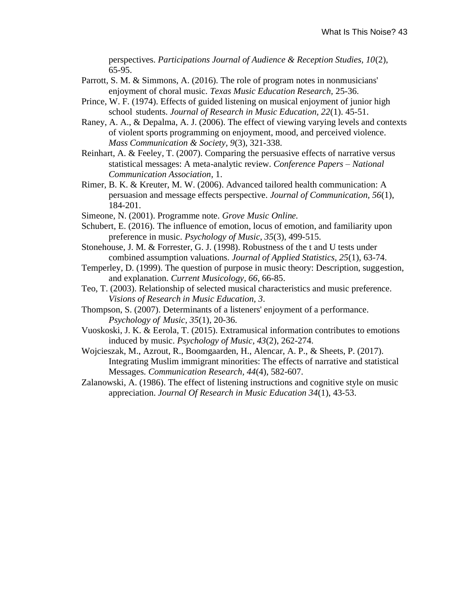perspectives. *Participations Journal of Audience & Reception Studies, 10*(2), 65-95.

- Parrott, S. M. & Simmons, A. (2016). The role of program notes in nonmusicians' enjoyment of choral music. *Texas Music Education Research,* 25-36.
- Prince, W. F. (1974). Effects of guided listening on musical enjoyment of junior high school students. *Journal of Research in Music Education, 22*(1). 45-51.
- Raney, A. A., & Depalma, A. J. (2006). The effect of viewing varying levels and contexts of violent sports programming on enjoyment, mood, and perceived violence. *Mass Communication & Society, 9*(3), 321-338.
- Reinhart, A. & Feeley, T. (2007). Comparing the persuasive effects of narrative versus statistical messages: A meta-analytic review. *Conference Papers – National Communication Association*, 1.
- Rimer, B. K. & Kreuter, M. W. (2006). Advanced tailored health communication: A persuasion and message effects perspective. *Journal of Communication, 56*(1), 184-201.
- Simeone, N. (2001). Programme note. *Grove Music Online.*
- Schubert, E. (2016). The influence of emotion, locus of emotion, and familiarity upon preference in music. *Psychology of Music, 35*(3), 499-515.
- Stonehouse, J. M. & Forrester, G. J. (1998). Robustness of the t and U tests under combined assumption valuations. *Journal of Applied Statistics, 25*(1), 63-74.
- Temperley, D. (1999). The question of purpose in music theory: Description, suggestion, and explanation. *Current Musicology, 66*, 66-85.
- Teo, T. (2003). Relationship of selected musical characteristics and music preference. *Visions of Research in Music Education, 3*.
- Thompson, S. (2007). Determinants of a listeners' enjoyment of a performance. *Psychology of Music, 35*(1), 20-36.
- Vuoskoski, J. K. & Eerola, T. (2015). Extramusical information contributes to emotions induced by music. *Psychology of Music, 43*(2), 262-274.
- Wojcieszak, M., Azrout, R., Boomgaarden, H., Alencar, A. P., & Sheets, P. (2017). Integrating Muslim immigrant minorities: The effects of narrative and statistical Messages. *Communication Research, 44*(4), 582-607.
- Zalanowski, A. (1986). The effect of listening instructions and cognitive style on music appreciation. *Journal Of Research in Music Education 34*(1), 43-53.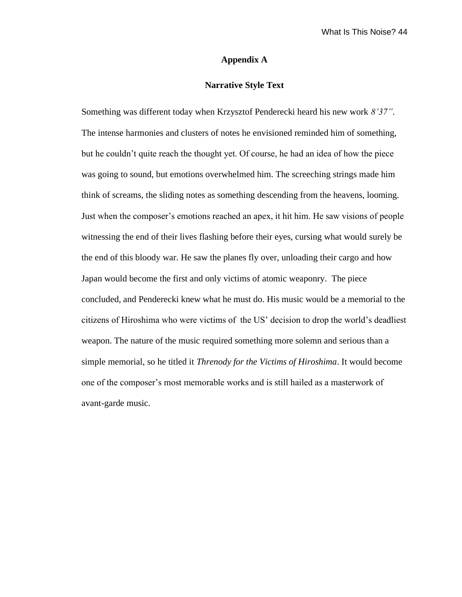### **Appendix A**

# **Narrative Style Text**

Something was different today when Krzysztof Penderecki heard his new work *8'37"*. The intense harmonies and clusters of notes he envisioned reminded him of something, but he couldn't quite reach the thought yet. Of course, he had an idea of how the piece was going to sound, but emotions overwhelmed him. The screeching strings made him think of screams, the sliding notes as something descending from the heavens, looming. Just when the composer's emotions reached an apex, it hit him. He saw visions of people witnessing the end of their lives flashing before their eyes, cursing what would surely be the end of this bloody war. He saw the planes fly over, unloading their cargo and how Japan would become the first and only victims of atomic weaponry. The piece concluded, and Penderecki knew what he must do. His music would be a memorial to the citizens of Hiroshima who were victims of the US' decision to drop the world's deadliest weapon. The nature of the music required something more solemn and serious than a simple memorial, so he titled it *Threnody for the Victims of Hiroshima*. It would become one of the composer's most memorable works and is still hailed as a masterwork of avant-garde music.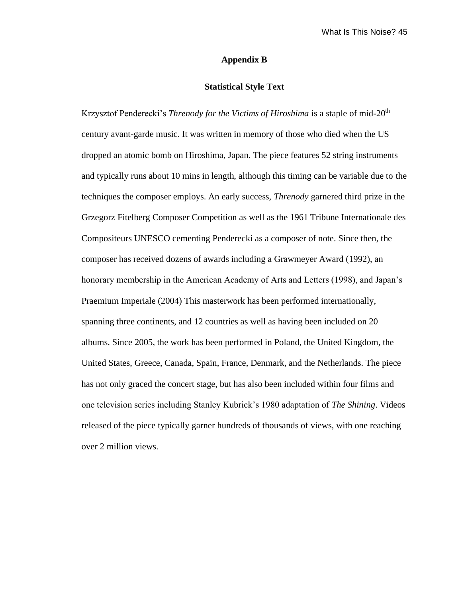### **Appendix B**

### **Statistical Style Text**

Krzysztof Penderecki's *Threnody for the Victims of Hiroshima* is a staple of mid-20<sup>th</sup> century avant-garde music. It was written in memory of those who died when the US dropped an atomic bomb on Hiroshima, Japan. The piece features 52 string instruments and typically runs about 10 mins in length, although this timing can be variable due to the techniques the composer employs. An early success, *Threnody* garnered third prize in the Grzegorz Fitelberg Composer Competition as well as the 1961 Tribune Internationale des Compositeurs UNESCO cementing Penderecki as a composer of note. Since then, the composer has received dozens of awards including a Grawmeyer Award (1992), an honorary membership in the American Academy of Arts and Letters (1998), and Japan's Praemium Imperiale (2004) This masterwork has been performed internationally, spanning three continents, and 12 countries as well as having been included on 20 albums. Since 2005, the work has been performed in Poland, the United Kingdom, the United States, Greece, Canada, Spain, France, Denmark, and the Netherlands. The piece has not only graced the concert stage, but has also been included within four films and one television series including Stanley Kubrick's 1980 adaptation of *The Shining*. Videos released of the piece typically garner hundreds of thousands of views, with one reaching over 2 million views.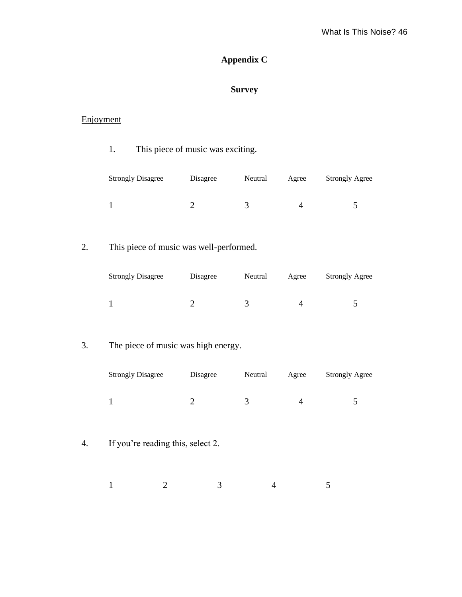# **Appendix C**

# **Survey**

# Enjoyment

|    | This piece of music was exciting.<br>1. |                |                |                |                       |  |
|----|-----------------------------------------|----------------|----------------|----------------|-----------------------|--|
|    | <b>Strongly Disagree</b>                | Disagree       | Neutral        | Agree          | <b>Strongly Agree</b> |  |
|    | $\mathbf{1}$                            | $\sqrt{2}$     | 3              | $\overline{4}$ | 5                     |  |
| 2. | This piece of music was well-performed. |                |                |                |                       |  |
|    | <b>Strongly Disagree</b>                | Disagree       | Neutral        | Agree          | <b>Strongly Agree</b> |  |
|    | $\mathbf{1}$                            | $\overline{2}$ | 3              | $\overline{4}$ | $\mathfrak{S}$        |  |
| 3. | The piece of music was high energy.     |                |                |                |                       |  |
|    | <b>Strongly Disagree</b>                | Disagree       | Neutral        | Agree          | <b>Strongly Agree</b> |  |
|    | $\mathbf{1}$                            | $\overline{2}$ | 3              | $\overline{4}$ | 5                     |  |
| 4. | If you're reading this, select 2.       |                |                |                |                       |  |
|    | $\mathbf{1}$<br>$\overline{2}$          | 3              | $\overline{4}$ |                | 5                     |  |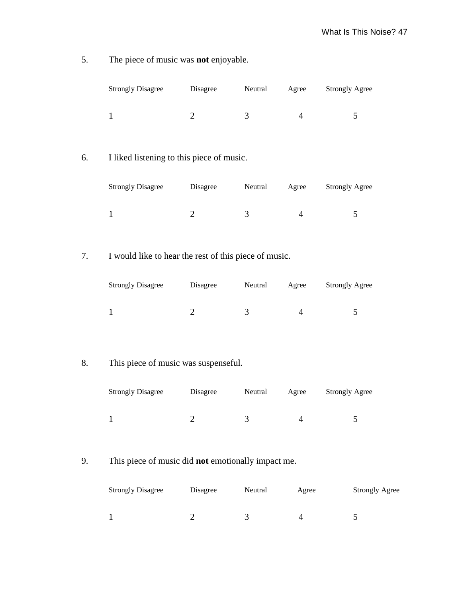5. The piece of music was **not** enjoyable.

| <b>Strongly Disagree</b> | Disagree | Neutral | Agree | <b>Strongly Agree</b> |
|--------------------------|----------|---------|-------|-----------------------|
|                          |          |         |       |                       |

6. I liked listening to this piece of music.

| <b>Strongly Disagree</b> | Disagree | Neutral | Agree | <b>Strongly Agree</b> |
|--------------------------|----------|---------|-------|-----------------------|
|                          |          |         |       |                       |

7. I would like to hear the rest of this piece of music.

| <b>Strongly Disagree</b> | Disagree | Neutral | Agree | <b>Strongly Agree</b> |
|--------------------------|----------|---------|-------|-----------------------|
|                          |          |         |       |                       |

8. This piece of music was suspenseful.

| <b>Strongly Disagree</b> | Disagree | Neutral | Agree | <b>Strongly Agree</b> |
|--------------------------|----------|---------|-------|-----------------------|
|                          |          |         |       |                       |

9. This piece of music did **not** emotionally impact me.

| <b>Strongly Disagree</b> | Disagree | Neutral | Agree | <b>Strongly Agree</b> |
|--------------------------|----------|---------|-------|-----------------------|
|                          |          |         |       |                       |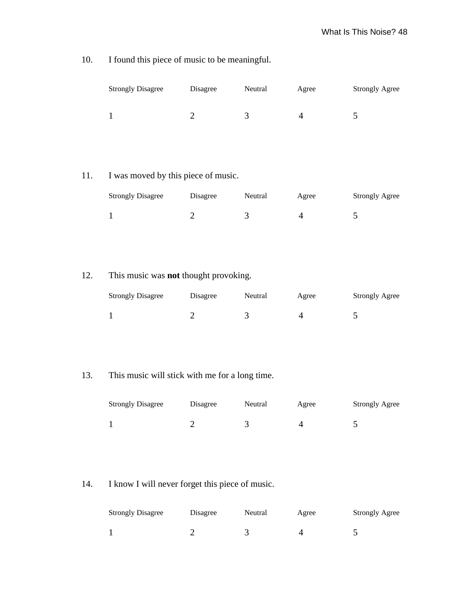| <b>Strongly Disagree</b> | Disagree | Neutral | Agree | <b>Strongly Agree</b> |
|--------------------------|----------|---------|-------|-----------------------|
|                          |          |         |       |                       |

10. I found this piece of music to be meaningful.

# 11. I was moved by this piece of music.

| <b>Strongly Disagree</b> | Disagree | Neutral | Agree | <b>Strongly Agree</b> |
|--------------------------|----------|---------|-------|-----------------------|
|                          |          |         |       |                       |

# 12. This music was **not** thought provoking.

| <b>Strongly Disagree</b> | Disagree | Neutral | Agree | <b>Strongly Agree</b> |
|--------------------------|----------|---------|-------|-----------------------|
|                          |          |         |       |                       |

# 13. This music will stick with me for a long time.

| <b>Strongly Disagree</b> | Disagree | Neutral | Agree | <b>Strongly Agree</b> |
|--------------------------|----------|---------|-------|-----------------------|
|                          |          |         |       |                       |

# 14. I know I will never forget this piece of music.

| <b>Strongly Disagree</b> | Disagree | Neutral | Agree | <b>Strongly Agree</b> |
|--------------------------|----------|---------|-------|-----------------------|
|                          |          |         |       |                       |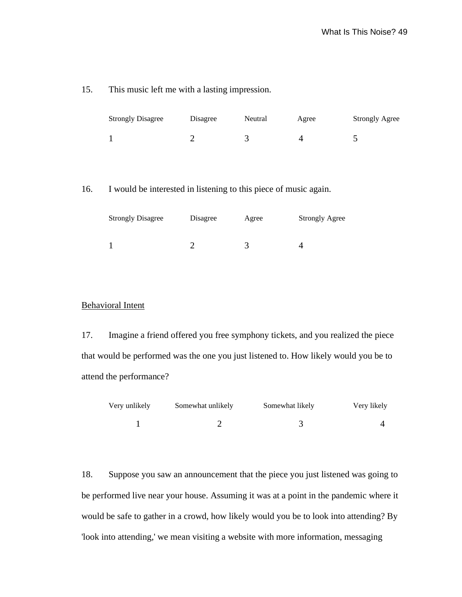### 15. This music left me with a lasting impression.

| <b>Strongly Disagree</b> | Disagree | Neutral | Agree | <b>Strongly Agree</b> |
|--------------------------|----------|---------|-------|-----------------------|
|                          |          |         |       |                       |

### 16. I would be interested in listening to this piece of music again.

| <b>Strongly Disagree</b> | Disagree | Agree | <b>Strongly Agree</b> |  |
|--------------------------|----------|-------|-----------------------|--|
|                          |          |       |                       |  |
|                          |          |       |                       |  |

## Behavioral Intent

17. Imagine a friend offered you free symphony tickets, and you realized the piece that would be performed was the one you just listened to. How likely would you be to attend the performance?

| Very unlikely | Somewhat unlikely | Somewhat likely | Very likely |
|---------------|-------------------|-----------------|-------------|
|               |                   |                 |             |

18. Suppose you saw an announcement that the piece you just listened was going to be performed live near your house. Assuming it was at a point in the pandemic where it would be safe to gather in a crowd, how likely would you be to look into attending? By 'look into attending,' we mean visiting a website with more information, messaging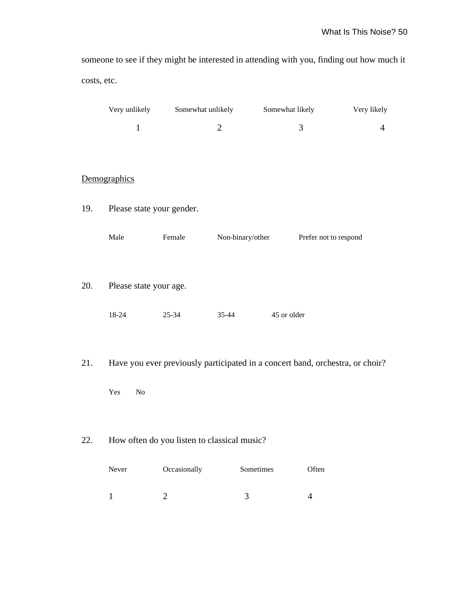someone to see if they might be interested in attending with you, finding out how much it costs, etc.

|     | Very unlikely             | Somewhat unlikely                                                             |                  | Somewhat likely |                       | Very likely    |
|-----|---------------------------|-------------------------------------------------------------------------------|------------------|-----------------|-----------------------|----------------|
|     | $\mathbf{1}$              |                                                                               | $\mathbf{2}$     |                 | 3                     | $\overline{4}$ |
|     |                           |                                                                               |                  |                 |                       |                |
|     |                           |                                                                               |                  |                 |                       |                |
|     | Demographics              |                                                                               |                  |                 |                       |                |
| 19. | Please state your gender. |                                                                               |                  |                 |                       |                |
|     | Male                      | Female                                                                        | Non-binary/other |                 | Prefer not to respond |                |
| 20. | Please state your age.    |                                                                               |                  |                 |                       |                |
|     | 18-24                     | $25 - 34$                                                                     | $35 - 44$        | 45 or older     |                       |                |
| 21. |                           | Have you ever previously participated in a concert band, orchestra, or choir? |                  |                 |                       |                |
|     | Yes<br>N <sub>o</sub>     |                                                                               |                  |                 |                       |                |
| 22. |                           | How often do you listen to classical music?                                   |                  |                 |                       |                |
|     | Never                     | Occasionally                                                                  | Sometimes        |                 | Often                 |                |

1 2 3 4